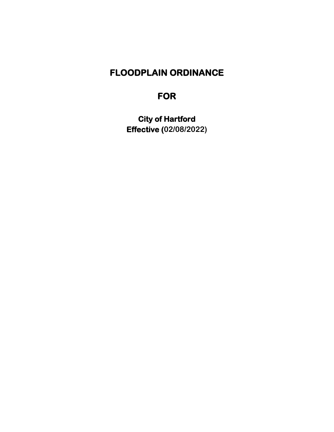## **FLOODPLAIN ORDINANCE**

# **FOR**

**City of Hartford Effective (02/08/2022)**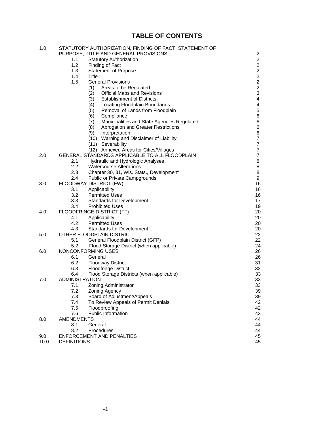## **TABLE OF CONTENTS**

| 1.0  | STATUTORY AUTHORIZATION, FINDING OF FACT, STATEMENT OF |                                                    |                          |
|------|--------------------------------------------------------|----------------------------------------------------|--------------------------|
|      |                                                        | PURPOSE, TITLE AND GENERAL PROVISIONS              | $\overline{c}$           |
|      | 1.1                                                    | <b>Statutory Authorization</b>                     | $\overline{a}$           |
|      | 1.2                                                    | Finding of Fact                                    | $\overline{a}$           |
|      | 1.3                                                    | <b>Statement of Purpose</b>                        | $\overline{c}$           |
|      | 1.4                                                    | Title                                              | $\overline{\mathbf{c}}$  |
|      | 1.5                                                    | <b>General Provisions</b>                          | $\frac{2}{2}$            |
|      |                                                        | (1)<br>Areas to be Regulated                       |                          |
|      |                                                        | (2)<br><b>Official Maps and Revisions</b>          | 3                        |
|      |                                                        | <b>Establishment of Districts</b><br>(3)           | $\overline{\mathbf{4}}$  |
|      |                                                        | Locating Floodplain Boundaries<br>(4)              | 4                        |
|      |                                                        | Removal of Lands from Floodplain<br>(5)            | 5                        |
|      |                                                        | (6)<br>Compliance                                  | 6                        |
|      |                                                        | Municipalities and State Agencies Regulated<br>(7) | 6                        |
|      |                                                        | Abrogation and Greater Restrictions<br>(8)         | 6                        |
|      |                                                        | (9)<br>Interpretation                              | 6                        |
|      |                                                        | (10) Warning and Disclaimer of Liability           | $\overline{7}$           |
|      |                                                        | (11) Severability                                  | $\overline{\mathbf{7}}$  |
|      |                                                        | (12) Annexed Areas for Cities/Villages             | $\overline{\mathcal{I}}$ |
| 2.0  |                                                        | GENERAL STANDARDS APPLICABLE TO ALL FLOODPLAIN     | $\overline{\mathcal{I}}$ |
|      | 2.1                                                    | Hydraulic and Hydrologic Analyses                  | 8                        |
|      | 2.2                                                    | <b>Watercourse Alterations</b>                     | 8                        |
|      | 2.3                                                    | Chapter 30, 31, Wis. Stats., Development           | 8                        |
|      | 2.4                                                    | Public or Private Campgrounds                      | 9                        |
| 3.0  |                                                        | FLOODWAY DISTRICT (FW)                             | 16                       |
|      | 3.1                                                    | Applicability                                      | 16                       |
|      | 3.2                                                    | <b>Permitted Uses</b>                              | 16                       |
|      | 3.3                                                    | <b>Standards for Development</b>                   | 17                       |
|      | 3.4                                                    | <b>Prohibited Uses</b>                             | 19                       |
| 4.0  | FLOODFRINGE DISTRICT (FF)                              |                                                    | 20                       |
|      | 4.1                                                    | Applicability                                      | 20                       |
|      | 4.2                                                    | <b>Permitted Uses</b>                              | 20                       |
|      | 4.3                                                    | <b>Standards for Development</b>                   | 20                       |
| 5.0  |                                                        | OTHER FLOODPLAIN DISTRICT                          | 22                       |
|      | 5.1                                                    | General Floodplain District (GFP)                  | 22                       |
|      | 5.2                                                    | Flood Storage District (when applicable)           | 24                       |
| 6.0  | NONCONFORMING USES                                     |                                                    | 26                       |
|      | 6.1                                                    | General                                            | 26                       |
|      | 6.2                                                    | <b>Floodway District</b>                           | 31                       |
|      | 6.3                                                    | <b>Floodfringe District</b>                        | 32                       |
|      | 6.4                                                    | Flood Storage Districts (when applicable)          | 33                       |
| 7.0  | <b>ADMINISTRATION</b>                                  |                                                    |                          |
|      | 7.1                                                    | Zoning Administrator                               | 33                       |
|      | 7.2                                                    | Zoning Agency                                      | 39                       |
|      | 7.3                                                    | Board of Adjustment/Appeals                        | 39                       |
|      | 7.4                                                    | To Review Appeals of Permit Denials                | 42                       |
|      | 7.5                                                    | Floodproofing                                      | 42                       |
|      | 7.6                                                    | Public Information                                 | 43                       |
| 8.0  | <b>AMENDMENTS</b>                                      |                                                    |                          |
|      | 8.1                                                    | General                                            | 44                       |
|      | 8.2                                                    | Procedures                                         | 44                       |
| 9.0  |                                                        | <b>ENFORCEMENT AND PENALTIES</b>                   | 45                       |
| 10.0 | <b>DEFINITIONS</b>                                     |                                                    | 45                       |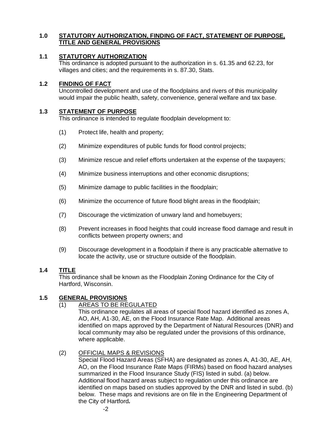## **1.0 STATUTORY AUTHORIZATION, FINDING OF FACT, STATEMENT OF PURPOSE, TITLE AND GENERAL PROVISIONS**

## **1.1 STATUTORY AUTHORIZATION**

This ordinance is adopted pursuant to the authorization in s. 61.35 and 62.23, for villages and cities; and the requirements in s. 87.30, Stats.

## **1.2 FINDING OF FACT**

Uncontrolled development and use of the floodplains and rivers of this municipality would impair the public health, safety, convenience, general welfare and tax base.

## **1.3 STATEMENT OF PURPOSE**

This ordinance is intended to regulate floodplain development to:

- (1) Protect life, health and property;
- (2) Minimize expenditures of public funds for flood control projects;
- (3) Minimize rescue and relief efforts undertaken at the expense of the taxpayers;
- (4) Minimize business interruptions and other economic disruptions;
- (5) Minimize damage to public facilities in the floodplain;
- (6) Minimize the occurrence of future flood blight areas in the floodplain;
- (7) Discourage the victimization of unwary land and homebuyers;
- (8) Prevent increases in flood heights that could increase flood damage and result in conflicts between property owners; and
- (9) Discourage development in a floodplain if there is any practicable alternative to locate the activity, use or structure outside of the floodplain.

## **1.4 TITLE**

This ordinance shall be known as the Floodplain Zoning Ordinance for the City of Hartford, Wisconsin.

## **1.5 GENERAL PROVISIONS**

## (1) AREAS TO BE REGULATED

This ordinance regulates all areas of special flood hazard identified as zones A, AO, AH, A1-30, AE, on the Flood Insurance Rate Map. Additional areas identified on maps approved by the Department of Natural Resources (DNR) and local community may also be regulated under the provisions of this ordinance, where applicable.

## (2) OFFICIAL MAPS & REVISIONS

Special Flood Hazard Areas (SFHA) are designated as zones A, A1-30, AE, AH, AO, on the Flood Insurance Rate Maps (FIRMs) based on flood hazard analyses summarized in the Flood Insurance Study (FIS) listed in subd. (a) below. Additional flood hazard areas subject to regulation under this ordinance are identified on maps based on studies approved by the DNR and listed in subd. (b) below. These maps and revisions are on file in the Engineering Department of the City of Hartford*.*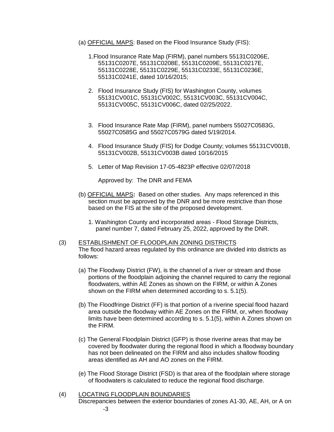- (a) OFFICIAL MAPS: Based on the Flood Insurance Study (FIS):
	- 1.Flood Insurance Rate Map (FIRM), panel numbers 55131C0206E, 55131C0207E, 55131C0208E, 55131C0209E, 55131C0217E, 55131C0228E, 55131C0229E, 55131C0233E, 55131C0236E, 55131C0241E, dated 10/16/2015;
	- 2. Flood Insurance Study (FIS) for Washington County, volumes 55131CV001C, 55131CV002C, 55131CV003C, 55131CV004C, 55131CV005C, 55131CV006C, dated 02/25/2022.
	- 3. Flood Insurance Rate Map (FIRM), panel numbers 55027C0583G, 55027C0585G and 55027C0579G dated 5/19/2014.
	- 4. Flood Insurance Study (FIS) for Dodge County; volumes 55131CV001B, 55131CV002B, 55131CV003B dated 10/16/2015
	- 5. Letter of Map Revision 17-05-4823P effective 02/07/2018

Approved by: The DNR and FEMA

- (b) OFFICIAL MAPS**:** Based on other studies.Any maps referenced in this section must be approved by the DNR and be more restrictive than those based on the FIS at the site of the proposed development.
	- 1. Washington County and incorporated areas Flood Storage Districts, panel number 7, dated February 25, 2022, approved by the DNR.
- (3) ESTABLISHMENT OF FLOODPLAIN ZONING DISTRICTS The flood hazard areas regulated by this ordinance are divided into districts as follows:
	- (a) The Floodway District (FW), is the channel of a river or stream and those portions of the floodplain adjoining the channel required to carry the regional floodwaters, within AE Zones as shown on the FIRM, or within A Zones shown on the FIRM when determined according to s. 5.1(5).
	- (b) The Floodfringe District (FF) is that portion of a riverine special flood hazard area outside the floodway within AE Zones on the FIRM, or, when floodway limits have been determined according to s. 5.1(5), within A Zones shown on the FIRM.
	- (c) The General Floodplain District (GFP) is those riverine areas that may be covered by floodwater during the regional flood in which a floodway boundary has not been delineated on the FIRM and also includes shallow flooding areas identified as AH and AO zones on the FIRM.
	- (e) The Flood Storage District (FSD) is that area of the floodplain where storage of floodwaters is calculated to reduce the regional flood discharge.
- (4) LOCATING FLOODPLAIN BOUNDARIES Discrepancies between the exterior boundaries of zones A1-30, AE, AH, or A on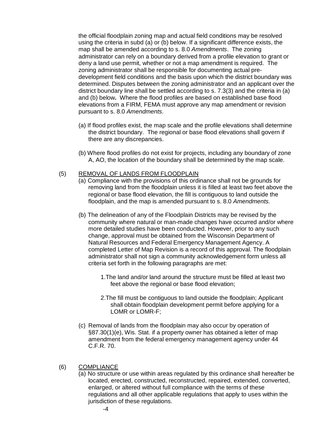the official floodplain zoning map and actual field conditions may be resolved using the criteria in subd (a) or (b) below. If a significant difference exists, the map shall be amended according to s. 8.0 *Amendments*. The zoning administrator can rely on a boundary derived from a profile elevation to grant or deny a land use permit, whether or not a map amendment is required. The zoning administrator shall be responsible for documenting actual predevelopment field conditions and the basis upon which the district boundary was determined. Disputes between the zoning administrator and an applicant over the district boundary line shall be settled according to s. 7.3(3) and the criteria in (a) and (b) below**.** Where the flood profiles are based on established base flood elevations from a FIRM, FEMA must approve any map amendment or revision pursuant to s. 8.0 *Amendments*.

- (a) If flood profiles exist, the map scale and the profile elevations shall determine the district boundary. The regional or base flood elevations shall govern if there are any discrepancies.
- (b) Where flood profiles do not exist for projects, including any boundary of zone A, AO, the location of the boundary shall be determined by the map scale.

#### (5) REMOVAL OF LANDS FROM FLOODPLAIN

- (a) Compliance with the provisions of this ordinance shall not be grounds for removing land from the floodplain unless it is filled at least two feet above the regional or base flood elevation, the fill is contiguous to land outside the floodplain, and the map is amended pursuant to s. 8.0 *Amendments.*
- (b) The delineation of any of the Floodplain Districts may be revised by the community where natural or man-made changes have occurred and/or where more detailed studies have been conducted. However, prior to any such change, approval must be obtained from the Wisconsin Department of Natural Resources and Federal Emergency Management Agency. A completed Letter of Map Revision is a record of this approval. The floodplain administrator shall not sign a community acknowledgement form unless all criteria set forth in the following paragraphs are met:
	- 1.The land and/or land around the structure must be filled at least two feet above the regional or base flood elevation;
	- 2.The fill must be contiguous to land outside the floodplain; Applicant shall obtain floodplain development permit before applying for a LOMR or LOMR-F;
- (c) Removal of lands from the floodplain may also occur by operation of §87.30(1)(e), Wis. Stat. if a property owner has obtained a letter of map amendment from the federal emergency management agency under 44 C.F.R. 70.

## (6) COMPLIANCE

(a) No structure or use within areas regulated by this ordinance shall hereafter be located, erected, constructed, reconstructed, repaired, extended, converted, enlarged, or altered without full compliance with the terms of these regulations and all other applicable regulations that apply to uses within the jurisdiction of these regulations.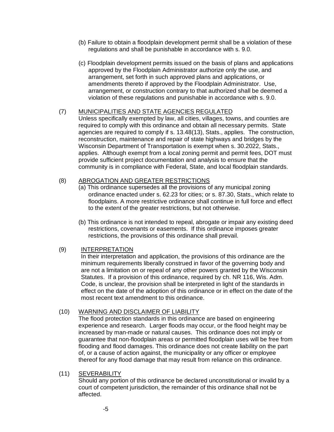- (b) Failure to obtain a floodplain development permit shall be a violation of these regulations and shall be punishable in accordance with s. 9.0.
- (c) Floodplain development permits issued on the basis of plans and applications approved by the Floodplain Administrator authorize only the use, and arrangement, set forth in such approved plans and applications, or amendments thereto if approved by the Floodplain Administrator. Use, arrangement, or construction contrary to that authorized shall be deemed a violation of these regulations and punishable in accordance with s. 9.0.

### (7) MUNICIPALITIES AND STATE AGENCIES REGULATED

Unless specifically exempted by law, all cities, villages, towns, and counties are required to comply with this ordinance and obtain all necessary permits. State agencies are required to comply if s. 13.48(13), Stats., applies. The construction, reconstruction, maintenance and repair of state highways and bridges by the Wisconsin Department of Transportation is exempt when s. 30.2022, Stats., applies. Although exempt from a local zoning permit and permit fees, DOT must provide sufficient project documentation and analysis to ensure that the community is in compliance with Federal, State, and local floodplain standards.

## (8) ABROGATION AND GREATER RESTRICTIONS

- (a) This ordinance supersedes all the provisions of any municipal zoning ordinance enacted under s. 62.23 for cities; or s. 87.30, Stats., which relate to floodplains. A more restrictive ordinance shall continue in full force and effect to the extent of the greater restrictions, but not otherwise.
- (b) This ordinance is not intended to repeal, abrogate or impair any existing deed restrictions, covenants or easements. If this ordinance imposes greater restrictions, the provisions of this ordinance shall prevail.

## (9) INTERPRETATION

In their interpretation and application, the provisions of this ordinance are the minimum requirements liberally construed in favor of the governing body and are not a limitation on or repeal of any other powers granted by the Wisconsin Statutes. If a provision of this ordinance, required by ch. NR 116, Wis. Adm. Code, is unclear, the provision shall be interpreted in light of the standards in effect on the date of the adoption of this ordinance or in effect on the date of the most recent text amendment to this ordinance.

## (10) WARNING AND DISCLAIMER OF LIABILITY

The flood protection standards in this ordinance are based on engineering experience and research. Larger floods may occur, or the flood height may be increased by man-made or natural causes. This ordinance does not imply or guarantee that non-floodplain areas or permitted floodplain uses will be free from flooding and flood damages. This ordinance does not create liability on the part of, or a cause of action against, the municipality or any officer or employee thereof for any flood damage that may result from reliance on this ordinance.

## (11) SEVERABILITY

Should any portion of this ordinance be declared unconstitutional or invalid by a court of competent jurisdiction, the remainder of this ordinance shall not be affected.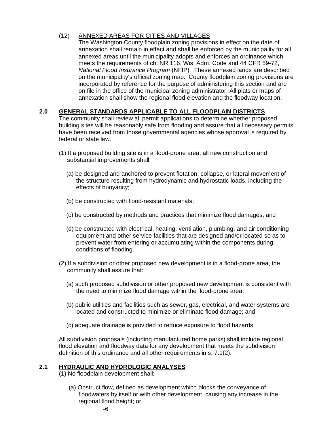## (12) ANNEXED AREAS FOR CITIES AND VILLAGES

The Washington County floodplain zoning provisions in effect on the date of annexation shall remain in effect and shall be enforced by the municipality for all annexed areas until the municipality adopts and enforces an ordinance which meets the requirements of ch. NR 116, Wis. Adm. Code and 44 CFR 59-72, *National Flood Insurance Program* (NFIP). These annexed lands are described on the municipality's official zoning map. County floodplain zoning provisions are incorporated by reference for the purpose of administering this section and are on file in the office of the municipal zoning administrator. All plats or maps of annexation shall show the regional flood elevation and the floodway location.

## **2.0 GENERAL STANDARDS APPLICABLE TO ALL FLOODPLAIN DISTRICTS**

The community shall review all permit applications to determine whether proposed building sites will be reasonably safe from flooding and assure that all necessary permits have been received from those governmental agencies whose approval is required by federal or state law.

- (1) If a proposed building site is in a flood-prone area, all new construction and substantial improvements shall:
	- (a) be designed and anchored to prevent flotation, collapse, or lateral movement of the structure resulting from hydrodynamic and hydrostatic loads, including the effects of buoyancy;
	- (b) be constructed with flood-resistant materials;
	- (c) be constructed by methods and practices that minimize flood damages; and
	- (d) be constructed with electrical, heating, ventilation, plumbing, and air conditioning equipment and other service facilities that are designed and/or located so as to prevent water from entering or accumulating within the components during conditions of flooding.
- (2) If a subdivision or other proposed new development is in a flood-prone area, the community shall assure that:
	- (a) such proposed subdivision or other proposed new development is consistent with the need to minimize flood damage within the flood-prone area;
	- (b) public utilities and facilities such as sewer, gas, electrical, and water systems are located and constructed to minimize or eliminate flood damage; and
	- (c) adequate drainage is provided to reduce exposure to flood hazards.

All subdivision proposals (including manufactured home parks) shall include regional flood elevation and floodway data for any development that meets the subdivision definition of this ordinance and all other requirements in s. 7.1(2).

## **2.1 HYDRAULIC AND HYDROLOGIC ANALYSES**

(1) No floodplain development shall:

(a) Obstruct flow, defined as development which blocks the conveyance of floodwaters by itself or with other development, causing any increase in the regional flood height; or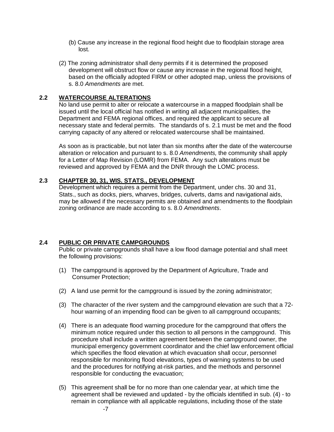- (b) Cause any increase in the regional flood height due to floodplain storage area lost.
- (2) The zoning administrator shall deny permits if it is determined the proposed development will obstruct flow or cause any increase in the regional flood height, based on the officially adopted FIRM or other adopted map, unless the provisions of s. 8.0 *Amendments* are met.

## **2.2 WATERCOURSE ALTERATIONS**

No land use permit to alter or relocate a watercourse in a mapped floodplain shall be issued until the local official has notified in writing all adjacent municipalities, the Department and FEMA regional offices, and required the applicant to secure all necessary state and federal permits. The standards of s. 2.1 must be met and the flood carrying capacity of any altered or relocated watercourse shall be maintained.

As soon as is practicable, but not later than six months after the date of the watercourse alteration or relocation and pursuant to s. 8.0 *Amendments,* the community shall apply for a Letter of Map Revision (LOMR) from FEMA. Any such alterations must be reviewed and approved by FEMA and the DNR through the LOMC process.

## **2.3 CHAPTER 30, 31, WIS. STATS., DEVELOPMENT**

Development which requires a permit from the Department, under chs. 30 and 31, Stats., such as docks, piers, wharves, bridges, culverts, dams and navigational aids, may be allowed if the necessary permits are obtained and amendments to the floodplain zoning ordinance are made according to s. 8.0 *Amendments*.

## **2.4 PUBLIC OR PRIVATE CAMPGROUNDS**

Public or private campgrounds shall have a low flood damage potential and shall meet the following provisions:

- (1) The campground is approved by the Department of Agriculture, Trade and Consumer Protection;
- (2) A land use permit for the campground is issued by the zoning administrator;
- (3) The character of the river system and the campground elevation are such that a 72 hour warning of an impending flood can be given to all campground occupants;
- (4) There is an adequate flood warning procedure for the campground that offers the minimum notice required under this section to all persons in the campground. This procedure shall include a written agreement between the campground owner, the municipal emergency government coordinator and the chief law enforcement official which specifies the flood elevation at which evacuation shall occur, personnel responsible for monitoring flood elevations, types of warning systems to be used and the procedures for notifying at-risk parties, and the methods and personnel responsible for conducting the evacuation;
- (5) This agreement shall be for no more than one calendar year, at which time the agreement shall be reviewed and updated - by the officials identified in sub. (4) - to remain in compliance with all applicable regulations, including those of the state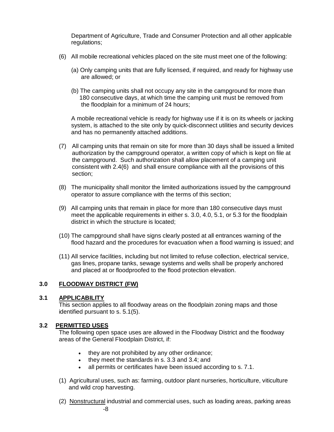Department of Agriculture, Trade and Consumer Protection and all other applicable regulations;

- (6) All mobile recreational vehicles placed on the site must meet one of the following:
	- (a) Only camping units that are fully licensed, if required, and ready for highway use are allowed; or
	- (b) The camping units shall not occupy any site in the campground for more than 180 consecutive days, at which time the camping unit must be removed from the floodplain for a minimum of 24 hours;

A mobile recreational vehicle is ready for highway use if it is on its wheels or jacking system, is attached to the site only by quick-disconnect utilities and security devices and has no permanently attached additions.

- (7) All camping units that remain on site for more than 30 days shall be issued a limited authorization by the campground operator, a written copy of which is kept on file at the campground. Such authorization shall allow placement of a camping unit consistent with 2.4(6) and shall ensure compliance with all the provisions of this section;
- (8) The municipality shall monitor the limited authorizations issued by the campground operator to assure compliance with the terms of this section;
- (9) All camping units that remain in place for more than 180 consecutive days must meet the applicable requirements in either s. 3.0, 4.0, 5.1, or 5.3 for the floodplain district in which the structure is located;
- (10) The campground shall have signs clearly posted at all entrances warning of the flood hazard and the procedures for evacuation when a flood warning is issued; and
- (11) All service facilities, including but not limited to refuse collection, electrical service, gas lines, propane tanks, sewage systems and wells shall be properly anchored and placed at or floodproofed to the flood protection elevation.

#### **3.0 FLOODWAY DISTRICT (FW)**

#### **3.1 APPLICABILITY**

This section applies to all floodway areas on the floodplain zoning maps and those identified pursuant to s. 5.1(5).

#### **3.2 PERMITTED USES**

The following open space uses are allowed in the Floodway District and the floodway areas of the General Floodplain District, if:

- they are not prohibited by any other ordinance;
- they meet the standards in s. 3.3 and 3.4; and
- all permits or certificates have been issued according to s. 7.1.
- (1) Agricultural uses, such as: farming, outdoor plant nurseries, horticulture, viticulture and wild crop harvesting.
- (2) Nonstructural industrial and commercial uses, such as loading areas, parking areas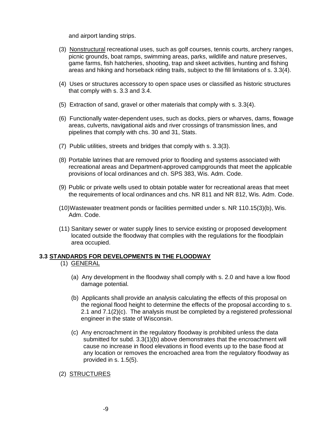and airport landing strips.

- (3) Nonstructural recreational uses, such as golf courses, tennis courts, archery ranges, picnic grounds, boat ramps, swimming areas, parks, wildlife and nature preserves, game farms, fish hatcheries, shooting, trap and skeet activities, hunting and fishing areas and hiking and horseback riding trails, subject to the fill limitations of s. 3.3(4).
- (4) Uses or structures accessory to open space uses or classified as historic structures that comply with s. 3.3 and 3.4.
- (5) Extraction of sand, gravel or other materials that comply with s. 3.3(4).
- (6) Functionally water-dependent uses, such as docks, piers or wharves, dams, flowage areas, culverts, navigational aids and river crossings of transmission lines, and pipelines that comply with chs. 30 and 31, Stats.
- (7) Public utilities, streets and bridges that comply with s. 3.3(3).
- (8) Portable latrines that are removed prior to flooding and systems associated with recreational areas and Department-approved campgrounds that meet the applicable provisions of local ordinances and ch. SPS 383, Wis. Adm. Code.
- (9) Public or private wells used to obtain potable water for recreational areas that meet the requirements of local ordinances and chs. NR 811 and NR 812, Wis. Adm. Code.
- (10)Wastewater treatment ponds or facilities permitted under s. NR 110.15(3)(b), Wis. Adm. Code.
- (11) Sanitary sewer or water supply lines to service existing or proposed development located outside the floodway that complies with the regulations for the floodplain area occupied.

## **3.3 STANDARDS FOR DEVELOPMENTS IN THE FLOODWAY**

## (1) GENERAL

- (a) Any development in the floodway shall comply with s. 2.0 and have a low flood damage potential.
- (b) Applicants shall provide an analysis calculating the effects of this proposal on the regional flood height to determine the effects of the proposal according to s. 2.1 and 7.1(2)(c). The analysis must be completed by a registered professional engineer in the state of Wisconsin.
- (c) Any encroachment in the regulatory floodway is prohibited unless the data submitted for subd. 3.3(1)(b) above demonstrates that the encroachment will cause no increase in flood elevations in flood events up to the base flood at any location or removes the encroached area from the regulatory floodway as provided in s. 1.5(5).

(2) STRUCTURES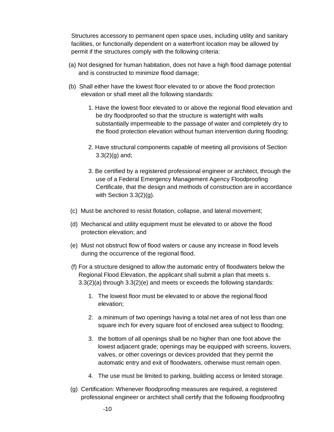Structures accessory to permanent open space uses, including utility and sanitary facilities, or functionally dependent on a waterfront location may be allowed by permit if the structures comply with the following criteria:

- (a) Not designed for human habitation, does not have a high flood damage potential and is constructed to minimize flood damage;
- (b) Shall either have the lowest floor elevated to or above the flood protection elevation or shall meet all the following standards:
	- 1. Have the lowest floor elevated to or above the regional flood elevation and be dry floodproofed so that the structure is watertight with walls substantially impermeable to the passage of water and completely dry to the flood protection elevation without human intervention during flooding;
	- 2. Have structural components capable of meeting all provisions of Section  $3.3(2)(g)$  and;
	- 3. Be certified by a registered professional engineer or architect, through the use of a Federal Emergency Management Agency Floodproofing Certificate, that the design and methods of construction are in accordance with Section 3.3(2)(g).
- (c) Must be anchored to resist flotation, collapse, and lateral movement;
- (d) Mechanical and utility equipment must be elevated to or above the flood protection elevation; and
- (e) Must not obstruct flow of flood waters or cause any increase in flood levels during the occurrence of the regional flood.
- (f) For a structure designed to allow the automatic entry of floodwaters below the Regional Flood Elevation, the applicant shall submit a plan that meets s. 3.3(2)(a) through 3.3(2)(e) and meets or exceeds the following standards:
	- 1. The lowest floor must be elevated to or above the regional flood elevation;
	- 2. a minimum of two openings having a total net area of not less than one square inch for every square foot of enclosed area subject to flooding;
	- 3. the bottom of all openings shall be no higher than one foot above the lowest adjacent grade; openings may be equipped with screens, louvers, valves, or other coverings or devices provided that they permit the automatic entry and exit of floodwaters, otherwise must remain open.
	- 4. The use must be limited to parking, building access or limited storage.
- (g) Certification: Whenever floodproofing measures are required, a registered professional engineer or architect shall certify that the following floodproofing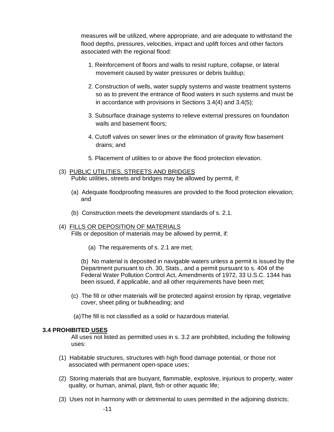measures will be utilized, where appropriate, and are adequate to withstand the flood depths, pressures, velocities, impact and uplift forces and other factors associated with the regional flood:

- 1. Reinforcement of floors and walls to resist rupture, collapse, or lateral movement caused by water pressures or debris buildup;
- 2. Construction of wells, water supply systems and waste treatment systems so as to prevent the entrance of flood waters in such systems and must be in accordance with provisions in Sections 3.4(4) and 3.4(5);
- 3. Subsurface drainage systems to relieve external pressures on foundation walls and basement floors;
- 4. Cutoff valves on sewer lines or the elimination of gravity flow basement drains; and
- 5. Placement of utilities to or above the flood protection elevation.
- (3) PUBLIC UTILITIES, STREETS AND BRIDGES Public utilities, streets and bridges may be allowed by permit, if:
	- (a) Adequate floodproofing measures are provided to the flood protection elevation; and
	- (b) Construction meets the development standards of s. 2.1.

#### (4) FILLS OR DEPOSITION OF MATERIALS Fills or deposition of materials may be allowed by permit, if:

(a) The requirements of s. 2.1 are met;

(b) No material is deposited in navigable waters unless a permit is issued by the Department pursuant to ch. 30, Stats., and a permit pursuant to s. 404 of the Federal Water Pollution Control Act, Amendments of 1972, 33 U.S.C. 1344 has been issued, if applicable, and all other requirements have been met;

- (c) The fill or other materials will be protected against erosion by riprap, vegetative cover, sheet piling or bulkheading; and
- (a)The fill is not classified as a solid or hazardous material.

#### **3.4 PROHIBITED USES**

All uses not listed as permitted uses in s. 3.2 are prohibited, including the following uses:

- (1) Habitable structures, structures with high flood damage potential, or those not associated with permanent open-space uses;
- (2) Storing materials that are buoyant, flammable, explosive, injurious to property, water quality, or human, animal, plant, fish or other aquatic life;
- (3) Uses not in harmony with or detrimental to uses permitted in the adjoining districts;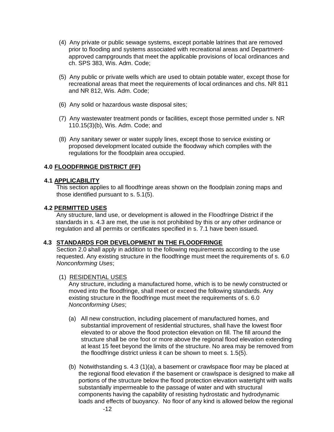- (4) Any private or public sewage systems, except portable latrines that are removed prior to flooding and systems associated with recreational areas and Departmentapproved campgrounds that meet the applicable provisions of local ordinances and ch. SPS 383, Wis. Adm. Code;
- (5) Any public or private wells which are used to obtain potable water, except those for recreational areas that meet the requirements of local ordinances and chs. NR 811 and NR 812, Wis. Adm. Code;
- (6) Any solid or hazardous waste disposal sites;
- (7) Any wastewater treatment ponds or facilities, except those permitted under s. NR 110.15(3)(b), Wis. Adm. Code; and
- (8) Any sanitary sewer or water supply lines, except those to service existing or proposed development located outside the floodway which complies with the regulations for the floodplain area occupied.

## **4.0 FLOODFRINGE DISTRICT (FF)**

#### **4.1 APPLICABILITY**

This section applies to all floodfringe areas shown on the floodplain zoning maps and those identified pursuant to s. 5.1(5).

#### **4.2 PERMITTED USES**

Any structure, land use, or development is allowed in the Floodfringe District if the standards in s. 4.3 are met, the use is not prohibited by this or any other ordinance or regulation and all permits or certificates specified in s. 7.1 have been issued.

#### **4.3 STANDARDS FOR DEVELOPMENT IN THE FLOODFRINGE**

Section 2.0 shall apply in addition to the following requirements according to the use requested. Any existing structure in the floodfringe must meet the requirements of s. 6.0 *Nonconforming Uses*;

## (1) RESIDENTIAL USES

Any structure, including a manufactured home, which is to be newly constructed or moved into the floodfringe, shall meet or exceed the following standards. Any existing structure in the floodfringe must meet the requirements of s. 6.0 *Nonconforming Uses*;

- (a) All new construction, including placement of manufactured homes, and substantial improvement of residential structures, shall have the lowest floor elevated to or above the flood protection elevation on fill. The fill around the structure shall be one foot or more above the regional flood elevation extending at least 15 feet beyond the limits of the structure. No area may be removed from the floodfringe district unless it can be shown to meet s. 1.5(5).
- (b) Notwithstanding s. 4.3 (1)(a), a basement or crawlspace floor may be placed at the regional flood elevation if the basement or crawlspace is designed to make all portions of the structure below the flood protection elevation watertight with walls substantially impermeable to the passage of water and with structural components having the capability of resisting hydrostatic and hydrodynamic loads and effects of buoyancy. No floor of any kind is allowed below the regional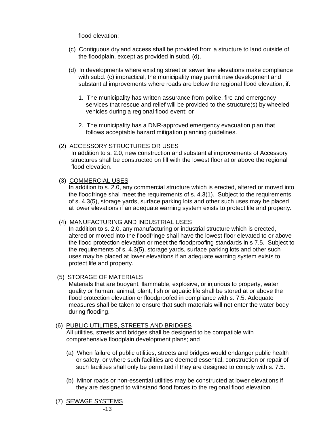flood elevation;

- (c) Contiguous dryland access shall be provided from a structure to land outside of the floodplain, except as provided in subd. (d).
- (d) In developments where existing street or sewer line elevations make compliance with subd. (c) impractical, the municipality may permit new development and substantial improvements where roads are below the regional flood elevation, if:
	- 1. The municipality has written assurance from police, fire and emergency services that rescue and relief will be provided to the structure(s) by wheeled vehicles during a regional flood event; or
	- 2. The municipality has a DNR-approved emergency evacuation plan that follows acceptable hazard mitigation planning guidelines.

## (2) ACCESSORY STRUCTURES OR USES

In addition to s. 2.0, new construction and substantial improvements of Accessory structures shall be constructed on fill with the lowest floor at or above the regional flood elevation.

#### (3) COMMERCIAL USES

In addition to s. 2.0, any commercial structure which is erected, altered or moved into the floodfringe shall meet the requirements of s. 4.3(1). Subject to the requirements of s. 4.3(5), storage yards, surface parking lots and other such uses may be placed at lower elevations if an adequate warning system exists to protect life and property.

## (4) MANUFACTURING AND INDUSTRIAL USES

In addition to s. 2.0, any manufacturing or industrial structure which is erected, altered or moved into the floodfringe shall have the lowest floor elevated to or above the flood protection elevation or meet the floodproofing standards in s 7.5. Subject to the requirements of s. 4.3(5), storage yards, surface parking lots and other such uses may be placed at lower elevations if an adequate warning system exists to protect life and property.

## (5) STORAGE OF MATERIALS

Materials that are buoyant, flammable, explosive, or injurious to property, water quality or human, animal, plant, fish or aquatic life shall be stored at or above the flood protection elevation or floodproofed in compliance with s. 7.5. Adequate measures shall be taken to ensure that such materials will not enter the water body during flooding.

## (6) PUBLIC UTILITIES, STREETS AND BRIDGES

All utilities, streets and bridges shall be designed to be compatible with comprehensive floodplain development plans; and

- (a) When failure of public utilities, streets and bridges would endanger public health or safety, or where such facilities are deemed essential, construction or repair of such facilities shall only be permitted if they are designed to comply with s. 7.5.
- (b) Minor roads or non-essential utilities may be constructed at lower elevations if they are designed to withstand flood forces to the regional flood elevation.
- (7) SEWAGE SYSTEMS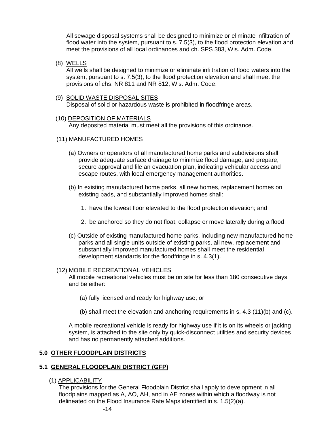All sewage disposal systems shall be designed to minimize or eliminate infiltration of flood water into the system, pursuant to s. 7.5(3), to the flood protection elevation and meet the provisions of all local ordinances and ch. SPS 383, Wis. Adm. Code.

(8) WELLS

All wells shall be designed to minimize or eliminate infiltration of flood waters into the system, pursuant to s. 7.5(3), to the flood protection elevation and shall meet the provisions of chs. NR 811 and NR 812, Wis. Adm. Code.

(9) SOLID WASTE DISPOSAL SITES Disposal of solid or hazardous waste is prohibited in floodfringe areas.

#### (10) DEPOSITION OF MATERIALS

Any deposited material must meet all the provisions of this ordinance.

#### (11) MANUFACTURED HOMES

- (a) Owners or operators of all manufactured home parks and subdivisions shall provide adequate surface drainage to minimize flood damage, and prepare, secure approval and file an evacuation plan, indicating vehicular access and escape routes, with local emergency management authorities.
- (b) In existing manufactured home parks, all new homes, replacement homes on existing pads, and substantially improved homes shall:
	- 1. have the lowest floor elevated to the flood protection elevation; and
	- 2. be anchored so they do not float, collapse or move laterally during a flood
- (c) Outside of existing manufactured home parks, including new manufactured home parks and all single units outside of existing parks, all new, replacement and substantially improved manufactured homes shall meet the residential development standards for the floodfringe in s. 4.3(1).

#### (12) MOBILE RECREATIONAL VEHICLES

All mobile recreational vehicles must be on site for less than 180 consecutive days and be either:

- (a) fully licensed and ready for highway use; or
- (b) shall meet the elevation and anchoring requirements in s. 4.3 (11)(b) and (c).

A mobile recreational vehicle is ready for highway use if it is on its wheels or jacking system, is attached to the site only by quick-disconnect utilities and security devices and has no permanently attached additions.

## **5.0 OTHER FLOODPLAIN DISTRICTS**

## **5.1 GENERAL FLOODPLAIN DISTRICT (GFP)**

(1) APPLICABILITY

The provisions for the General Floodplain District shall apply to development in all floodplains mapped as A, AO, AH, and in AE zones within which a floodway is not delineated on the Flood Insurance Rate Maps identified in s. 1.5(2)(a).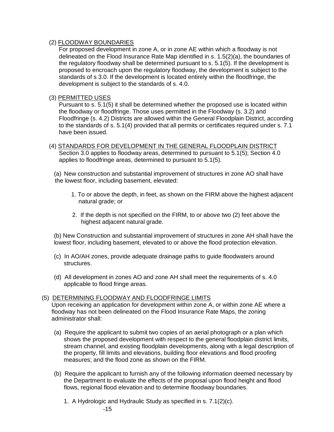## (2) FLOODWAY BOUNDARIES

For proposed development in zone A, or in zone AE within which a floodway is not delineated on the Flood Insurance Rate Map identified in s. 1.5(2)(a), the boundaries of the regulatory floodway shall be determined pursuant to s. 5.1(5). If the development is proposed to encroach upon the regulatory floodway, the development is subject to the standards of s 3.0. If the development is located entirely within the floodfringe, the development is subject to the standards of s. 4.0.

## (3) PERMITTED USES

Pursuant to s. 5.1(5) it shall be determined whether the proposed use is located within the floodway or floodfringe. Those uses permitted in the Floodway (s. 3.2) and Floodfringe (s. 4.2) Districts are allowed within the General Floodplain District, according to the standards of s. 5.1(4) provided that all permits or certificates required under s. 7.1 have been issued.

(4) STANDARDS FOR DEVELOPMENT IN THE GENERAL FLOODPLAIN DISTRICT Section 3.0 applies to floodway areas, determined to pursuant to 5.1(5); Section 4.0 applies to floodfringe areas, determined to pursuant to 5.1(5).

(a) New construction and substantial improvement of structures in zone AO shall have the lowest floor, including basement, elevated:

- 1. To or above the depth, in feet, as shown on the FIRM above the highest adjacent natural grade; or
- 2. If the depth is not specified on the FIRM, to or above two (2) feet above the highest adjacent natural grade.

(b) New Construction and substantial improvement of structures in zone AH shall have the lowest floor, including basement, elevated to or above the flood protection elevation.

- (c) In AO/AH zones, provide adequate drainage paths to guide floodwaters around structures.
- (d) All development in zones AO and zone AH shall meet the requirements of s. 4.0 applicable to flood fringe areas.

## (5) DETERMINING FLOODWAY AND FLOODFRINGE LIMITS

Upon receiving an application for development within zone A, or within zone AE where a floodway has not been delineated on the Flood Insurance Rate Maps, the zoning administrator shall:

- (a) Require the applicant to submit two copies of an aerial photograph or a plan which shows the proposed development with respect to the general floodplain district limits, stream channel, and existing floodplain developments, along with a legal description of the property, fill limits and elevations, building floor elevations and flood proofing measures; and the flood zone as shown on the FIRM.
- (b) Require the applicant to furnish any of the following information deemed necessary by the Department to evaluate the effects of the proposal upon flood height and flood flows, regional flood elevation and to determine floodway boundaries.
	- 1. A Hydrologic and Hydraulic Study as specified in s. 7.1(2)(c).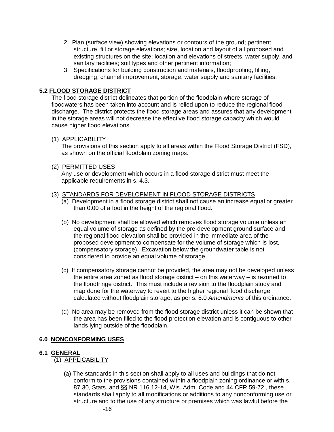- 2. Plan (surface view) showing elevations or contours of the ground; pertinent structure, fill or storage elevations; size, location and layout of all proposed and existing structures on the site; location and elevations of streets, water supply, and sanitary facilities; soil types and other pertinent information;
- 3. Specifications for building construction and materials, floodproofing, filling, dredging, channel improvement, storage, water supply and sanitary facilities.

## **5.2 FLOOD STORAGE DISTRICT**

The flood storage district delineates that portion of the floodplain where storage of floodwaters has been taken into account and is relied upon to reduce the regional flood discharge. The district protects the flood storage areas and assures that any development in the storage areas will not decrease the effective flood storage capacity which would cause higher flood elevations.

#### (1) APPLICABILITY

The provisions of this section apply to all areas within the Flood Storage District (FSD), as shown on the official floodplain zoning maps.

#### (2) PERMITTED USES

Any use or development which occurs in a flood storage district must meet the applicable requirements in s. 4.3.

#### (3) STANDARDS FOR DEVELOPMENT IN FLOOD STORAGE DISTRICTS

- (a) Development in a flood storage district shall not cause an increase equal or greater than 0.00 of a foot in the height of the regional flood.
- (b) No development shall be allowed which removes flood storage volume unless an equal volume of storage as defined by the pre-development ground surface and the regional flood elevation shall be provided in the immediate area of the proposed development to compensate for the volume of storage which is lost, (compensatory storage). Excavation below the groundwater table is not considered to provide an equal volume of storage.
- (c) If compensatory storage cannot be provided, the area may not be developed unless the entire area zoned as flood storage district – on this waterway – is rezoned to the floodfringe district. This must include a revision to the floodplain study and map done for the waterway to revert to the higher regional flood discharge calculated without floodplain storage, as per s. 8.0 *Amendments* of this ordinance.
- (d) No area may be removed from the flood storage district unless it can be shown that the area has been filled to the flood protection elevation and is contiguous to other lands lying outside of the floodplain.

## **6.0 NONCONFORMING USES**

## **6.1 GENERAL**

- (1) APPLICABILITY
	- (a) The standards in this section shall apply to all uses and buildings that do not conform to the provisions contained within a floodplain zoning ordinance or with s. 87.30, Stats. and §§ NR 116.12-14, Wis. Adm. Code and 44 CFR 59-72., these standards shall apply to all modifications or additions to any nonconforming use or structure and to the use of any structure or premises which was lawful before the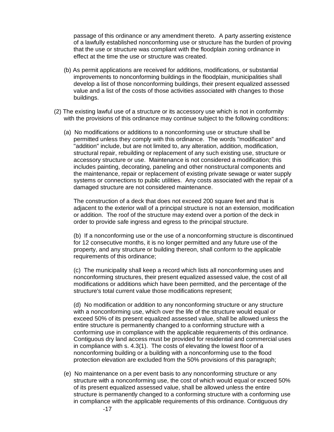passage of this ordinance or any amendment thereto. A party asserting existence of a lawfully established nonconforming use or structure has the burden of proving that the use or structure was compliant with the floodplain zoning ordinance in effect at the time the use or structure was created.

- (b) As permit applications are received for additions, modifications, or substantial improvements to nonconforming buildings in the floodplain, municipalities shall develop a list of those nonconforming buildings, their present equalized assessed value and a list of the costs of those activities associated with changes to those buildings.
- (2) The existing lawful use of a structure or its accessory use which is not in conformity with the provisions of this ordinance may continue subject to the following conditions:
	- (a) No modifications or additions to a nonconforming use or structure shall be permitted unless they comply with this ordinance. The words "modification" and "addition" include, but are not limited to, any alteration, addition, modification, structural repair, rebuilding or replacement of any such existing use, structure or accessory structure or use. Maintenance is not considered a modification; this includes painting, decorating, paneling and other nonstructural components and the maintenance, repair or replacement of existing private sewage or water supply systems or connections to public utilities. Any costs associated with the repair of a damaged structure are not considered maintenance.

The construction of a deck that does not exceed 200 square feet and that is adjacent to the exterior wall of a principal structure is not an extension, modification or addition. The roof of the structure may extend over a portion of the deck in order to provide safe ingress and egress to the principal structure.

(b) If a nonconforming use or the use of a nonconforming structure is discontinued for 12 consecutive months, it is no longer permitted and any future use of the property, and any structure or building thereon, shall conform to the applicable requirements of this ordinance;

(c) The municipality shall keep a record which lists all nonconforming uses and nonconforming structures, their present equalized assessed value, the cost of all modifications or additions which have been permitted, and the percentage of the structure's total current value those modifications represent;

(d) No modification or addition to any nonconforming structure or any structure with a nonconforming use, which over the life of the structure would equal or exceed 50% of its present equalized assessed value, shall be allowed unless the entire structure is permanently changed to a conforming structure with a conforming use in compliance with the applicable requirements of this ordinance. Contiguous dry land access must be provided for residential and commercial uses in compliance with s. 4.3(1). The costs of elevating the lowest floor of a nonconforming building or a building with a nonconforming use to the flood protection elevation are excluded from the 50% provisions of this paragraph;

(e) No maintenance on a per event basis to any nonconforming structure or any structure with a nonconforming use, the cost of which would equal or exceed 50% of its present equalized assessed value, shall be allowed unless the entire structure is permanently changed to a conforming structure with a conforming use in compliance with the applicable requirements of this ordinance. Contiguous dry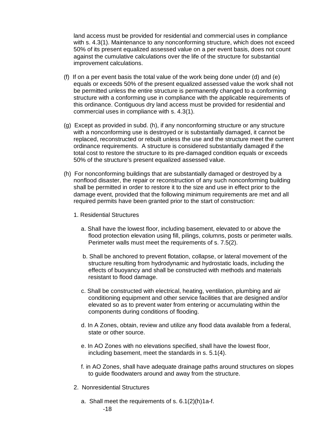land access must be provided for residential and commercial uses in compliance with s. 4.3(1). Maintenance to any nonconforming structure, which does not exceed 50% of its present equalized assessed value on a per event basis, does not count against the cumulative calculations over the life of the structure for substantial improvement calculations.

- (f) If on a per event basis the total value of the work being done under (d) and (e) equals or exceeds 50% of the present equalized assessed value the work shall not be permitted unless the entire structure is permanently changed to a conforming structure with a conforming use in compliance with the applicable requirements of this ordinance. Contiguous dry land access must be provided for residential and commercial uses in compliance with s. 4.3(1).
- (g) Except as provided in subd. (h), if any nonconforming structure or any structure with a nonconforming use is destroyed or is substantially damaged, it cannot be replaced, reconstructed or rebuilt unless the use and the structure meet the current ordinance requirements. A structure is considered substantially damaged if the total cost to restore the structure to its pre-damaged condition equals or exceeds 50% of the structure's present equalized assessed value.
- (h) For nonconforming buildings that are substantially damaged or destroyed by a nonflood disaster, the repair or reconstruction of any such nonconforming building shall be permitted in order to restore it to the size and use in effect prior to the damage event, provided that the following minimum requirements are met and all required permits have been granted prior to the start of construction:
	- 1. Residential Structures
		- a. Shall have the lowest floor, including basement, elevated to or above the flood protection elevation using fill, pilings, columns, posts or perimeter walls. Perimeter walls must meet the requirements of s. 7.5(2).
		- b. Shall be anchored to prevent flotation, collapse, or lateral movement of the structure resulting from hydrodynamic and hydrostatic loads, including the effects of buoyancy and shall be constructed with methods and materials resistant to flood damage.
		- c. Shall be constructed with electrical, heating, ventilation, plumbing and air conditioning equipment and other service facilities that are designed and/or elevated so as to prevent water from entering or accumulating within the components during conditions of flooding.
		- d. In A Zones, obtain, review and utilize any flood data available from a federal, state or other source.
		- e. In AO Zones with no elevations specified, shall have the lowest floor, including basement, meet the standards in s. 5.1(4).
		- f. in AO Zones, shall have adequate drainage paths around structures on slopes to guide floodwaters around and away from the structure.
	- 2. Nonresidential Structures
		- a. Shall meet the requirements of s. 6.1(2)(h)1a-f.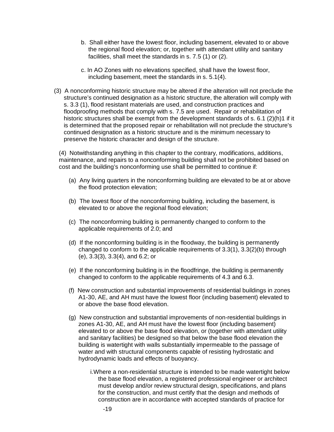- b. Shall either have the lowest floor, including basement, elevated to or above the regional flood elevation; or, together with attendant utility and sanitary facilities, shall meet the standards in s. 7.5 (1) or (2).
- c. In AO Zones with no elevations specified, shall have the lowest floor, including basement, meet the standards in s. 5.1(4).
- (3) A nonconforming historic structure may be altered if the alteration will not preclude the structure's continued designation as a historic structure, the alteration will comply with s. 3.3 (1), flood resistant materials are used, and construction practices and floodproofing methods that comply with s. 7.5 are used. Repair or rehabilitation of historic structures shall be exempt from the development standards of s. 6.1 (2)(h)1 if it is determined that the proposed repair or rehabilitation will not preclude the structure's continued designation as a historic structure and is the minimum necessary to preserve the historic character and design of the structure.

(4) Notwithstanding anything in this chapter to the contrary, modifications, additions, maintenance, and repairs to a nonconforming building shall not be prohibited based on cost and the building's nonconforming use shall be permitted to continue if:

- (a) Any living quarters in the nonconforming building are elevated to be at or above the flood protection elevation;
- (b) The lowest floor of the nonconforming building, including the basement, is elevated to or above the regional flood elevation;
- (c) The nonconforming building is permanently changed to conform to the applicable requirements of 2.0; and
- (d) If the nonconforming building is in the floodway, the building is permanently changed to conform to the applicable requirements of 3.3(1), 3.3(2)(b) through (e), 3.3(3), 3.3(4), and 6.2; or
- (e) If the nonconforming building is in the floodfringe, the building is permanently changed to conform to the applicable requirements of 4.3 and 6.3.
- (f) New construction and substantial improvements of residential buildings in zones A1-30, AE, and AH must have the lowest floor (including basement) elevated to or above the base flood elevation.
- (g) New construction and substantial improvements of non-residential buildings in zones A1-30, AE, and AH must have the lowest floor (including basement) elevated to or above the base flood elevation, or (together with attendant utility and sanitary facilities) be designed so that below the base flood elevation the building is watertight with walls substantially impermeable to the passage of water and with structural components capable of resisting hydrostatic and hydrodynamic loads and effects of buoyancy.
	- i.Where a non-residential structure is intended to be made watertight below the base flood elevation, a registered professional engineer or architect must develop and/or review structural design, specifications, and plans for the construction, and must certify that the design and methods of construction are in accordance with accepted standards of practice for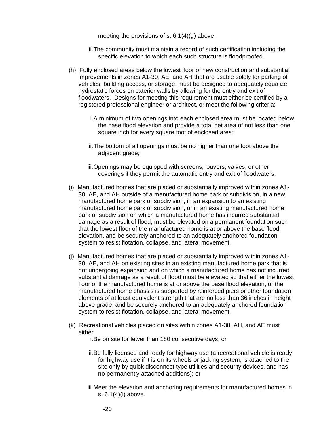meeting the provisions of s. 6.1(4)(g) above.

- ii.The community must maintain a record of such certification including the specific elevation to which each such structure is floodproofed.
- (h) Fully enclosed areas below the lowest floor of new construction and substantial improvements in zones A1-30, AE, and AH that are usable solely for parking of vehicles, building access, or storage, must be designed to adequately equalize hydrostatic forces on exterior walls by allowing for the entry and exit of floodwaters. Designs for meeting this requirement must either be certified by a registered professional engineer or architect, or meet the following criteria:
	- i.A minimum of two openings into each enclosed area must be located below the base flood elevation and provide a total net area of not less than one square inch for every square foot of enclosed area;
	- ii.The bottom of all openings must be no higher than one foot above the adjacent grade;
	- iii.Openings may be equipped with screens, louvers, valves, or other coverings if they permit the automatic entry and exit of floodwaters.
- (i) Manufactured homes that are placed or substantially improved within zones A1- 30, AE, and AH outside of a manufactured home park or subdivision, in a new manufactured home park or subdivision, in an expansion to an existing manufactured home park or subdivision, or in an existing manufactured home park or subdivision on which a manufactured home has incurred substantial damage as a result of flood, must be elevated on a permanent foundation such that the lowest floor of the manufactured home is at or above the base flood elevation, and be securely anchored to an adequately anchored foundation system to resist flotation, collapse, and lateral movement.
- (j) Manufactured homes that are placed or substantially improved within zones A1- 30, AE, and AH on existing sites in an existing manufactured home park that is not undergoing expansion and on which a manufactured home has not incurred substantial damage as a result of flood must be elevated so that either the lowest floor of the manufactured home is at or above the base flood elevation, or the manufactured home chassis is supported by reinforced piers or other foundation elements of at least equivalent strength that are no less than 36 inches in height above grade, and be securely anchored to an adequately anchored foundation system to resist flotation, collapse, and lateral movement.
- (k) Recreational vehicles placed on sites within zones A1-30, AH, and AE must either

i.Be on site for fewer than 180 consecutive days; or

- ii.Be fully licensed and ready for highway use (a recreational vehicle is ready for highway use if it is on its wheels or jacking system, is attached to the site only by quick disconnect type utilities and security devices, and has no permanently attached additions); or
- iii.Meet the elevation and anchoring requirements for manufactured homes in s. 6.1(4)(i) above.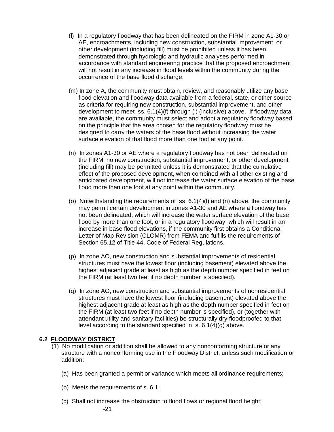- (l) In a regulatory floodway that has been delineated on the FIRM in zone A1-30 or AE, encroachments, including new construction, substantial improvement, or other development (including fill) must be prohibited unless it has been demonstrated through hydrologic and hydraulic analyses performed in accordance with standard engineering practice that the proposed encroachment will not result in any increase in flood levels within the community during the occurrence of the base flood discharge.
- (m) In zone A, the community must obtain, review, and reasonably utilize any base flood elevation and floodway data available from a federal, state, or other source as criteria for requiring new construction, substantial improvement, and other development to meet ss. 6.1(4)(f) through (l) (inclusive) above. If floodway data are available, the community must select and adopt a regulatory floodway based on the principle that the area chosen for the regulatory floodway must be designed to carry the waters of the base flood without increasing the water surface elevation of that flood more than one foot at any point.
- (n) In zones A1-30 or AE where a regulatory floodway has not been delineated on the FIRM, no new construction, substantial improvement, or other development (including fill) may be permitted unless it is demonstrated that the cumulative effect of the proposed development, when combined with all other existing and anticipated development, will not increase the water surface elevation of the base flood more than one foot at any point within the community.
- (o) Notwithstanding the requirements of  $ss. 6.1(4)(I)$  and (n) above, the community may permit certain development in zones A1-30 and AE where a floodway has not been delineated, which will increase the water surface elevation of the base flood by more than one foot, or in a regulatory floodway, which will result in an increase in base flood elevations, if the community first obtains a Conditional Letter of Map Revision (CLOMR) from FEMA and fulfills the requirements of Section 65.12 of Title 44, Code of Federal Regulations.
- (p) In zone AO, new construction and substantial improvements of residential structures must have the lowest floor (including basement) elevated above the highest adjacent grade at least as high as the depth number specified in feet on the FIRM (at least two feet if no depth number is specified).
- (q) In zone AO, new construction and substantial improvements of nonresidential structures must have the lowest floor (including basement) elevated above the highest adjacent grade at least as high as the depth number specified in feet on the FIRM (at least two feet if no depth number is specified), or (together with attendant utility and sanitary facilities) be structurally dry-floodproofed to that level according to the standard specified in s. 6.1(4)(g) above.

## **6.2 FLOODWAY DISTRICT**

- (1) No modification or addition shall be allowed to any nonconforming structure or any structure with a nonconforming use in the Floodway District, unless such modification or addition:
	- (a) Has been granted a permit or variance which meets all ordinance requirements;
	- (b) Meets the requirements of s. 6.1;
	- (c) Shall not increase the obstruction to flood flows or regional flood height;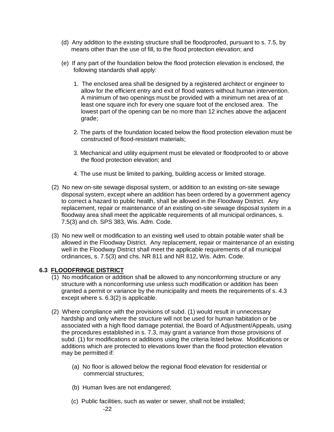- (d) Any addition to the existing structure shall be floodproofed, pursuant to s. 7.5, by means other than the use of fill, to the flood protection elevation; and
- (e) If any part of the foundation below the flood protection elevation is enclosed, the following standards shall apply:
	- 1. The enclosed area shall be designed by a registered architect or engineer to allow for the efficient entry and exit of flood waters without human intervention. A minimum of two openings must be provided with a minimum net area of at least one square inch for every one square foot of the enclosed area. The lowest part of the opening can be no more than 12 inches above the adjacent grade;
	- 2. The parts of the foundation located below the flood protection elevation must be constructed of flood-resistant materials;
	- 3. Mechanical and utility equipment must be elevated or floodproofed to or above the flood protection elevation; and
	- 4. The use must be limited to parking, building access or limited storage.
- (2) No new on-site sewage disposal system, or addition to an existing on-site sewage disposal system, except where an addition has been ordered by a government agency to correct a hazard to public health, shall be allowed in the Floodway District. Any replacement, repair or maintenance of an existing on-site sewage disposal system in a floodway area shall meet the applicable requirements of all municipal ordinances, s. 7.5(3) and ch. SPS 383, Wis. Adm. Code.
- (3) No new well or modification to an existing well used to obtain potable water shall be allowed in the Floodway District. Any replacement, repair or maintenance of an existing well in the Floodway District shall meet the applicable requirements of all municipal ordinances, s. 7.5(3) and chs. NR 811 and NR 812, Wis. Adm. Code.

## **6.3 FLOODFRINGE DISTRICT**

- (1) No modification or addition shall be allowed to any nonconforming structure or any structure with a nonconforming use unless such modification or addition has been granted a permit or variance by the municipality and meets the requirements of s. 4.3 except where s. 6.3(2) is applicable.
- (2) Where compliance with the provisions of subd. (1) would result in unnecessary hardship and only where the structure will not be used for human habitation or be associated with a high flood damage potential, the Board of Adjustment/Appeals, using the procedures established in s. 7.3, may grant a variance from those provisions of subd. (1) for modifications or additions using the criteria listed below. Modifications or additions which are protected to elevations lower than the flood protection elevation may be permitted if:
	- (a) No floor is allowed below the regional flood elevation for residential or commercial structures;
	- (b) Human lives are not endangered;
	- (c) Public facilities, such as water or sewer, shall not be installed;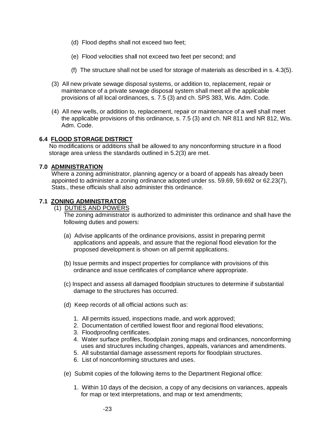- (d) Flood depths shall not exceed two feet;
- (e) Flood velocities shall not exceed two feet per second; and
- (f) The structure shall not be used for storage of materials as described in s. 4.3(5).
- (3) All new private sewage disposal systems, or addition to, replacement, repair or maintenance of a private sewage disposal system shall meet all the applicable provisions of all local ordinances, s. 7.5 (3) and ch. SPS 383, Wis. Adm. Code.
- (4) All new wells, or addition to, replacement, repair or maintenance of a well shall meet the applicable provisions of this ordinance, s. 7.5 (3) and ch. NR 811 and NR 812, Wis. Adm. Code.

#### **6.4 FLOOD STORAGE DISTRICT**

No modifications or additions shall be allowed to any nonconforming structure in a flood storage area unless the standards outlined in 5.2(3) are met.

#### **7.0 ADMINISTRATION**

Where a zoning administrator, planning agency or a board of appeals has already been appointed to administer a zoning ordinance adopted under ss. 59.69, 59.692 or 62.23(7), Stats., these officials shall also administer this ordinance.

## **7.1 ZONING ADMINISTRATOR**

(1) DUTIES AND POWERS

The zoning administrator is authorized to administer this ordinance and shall have the following duties and powers:

- (a) Advise applicants of the ordinance provisions, assist in preparing permit applications and appeals, and assure that the regional flood elevation for the proposed development is shown on all permit applications.
- (b) Issue permits and inspect properties for compliance with provisions of this ordinance and issue certificates of compliance where appropriate.
- (c) Inspect and assess all damaged floodplain structures to determine if substantial damage to the structures has occurred.
- (d) Keep records of all official actions such as:
	- 1. All permits issued, inspections made, and work approved;
	- 2. Documentation of certified lowest floor and regional flood elevations;
	- 3. Floodproofing certificates.
	- 4. Water surface profiles, floodplain zoning maps and ordinances, nonconforming uses and structures including changes, appeals, variances and amendments.
	- 5. All substantial damage assessment reports for floodplain structures.
	- 6. List of nonconforming structures and uses.
- (e) Submit copies of the following items to the Department Regional office:
	- 1. Within 10 days of the decision, a copy of any decisions on variances, appeals for map or text interpretations, and map or text amendments;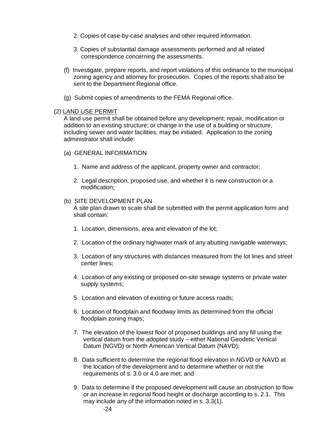- 2. Copies of case-by-case analyses and other required information.
- 3. Copies of substantial damage assessments performed and all related correspondence concerning the assessments.
- (f) Investigate, prepare reports, and report violations of this ordinance to the municipal zoning agency and attorney for prosecution. Copies of the reports shall also be sent to the Department Regional office.
- (g) Submit copies of amendments to the FEMA Regional office.

#### (2) LAND USE PERMIT

A land use permit shall be obtained before any development; repair, modification or addition to an existing structure; or change in the use of a building or structure, including sewer and water facilities, may be initiated. Application to the zoning administrator shall include:

- (a) GENERAL INFORMATION
	- 1. Name and address of the applicant, property owner and contractor;
	- 2. Legal description, proposed use, and whether it is new construction or a modification;

#### (b) SITE DEVELOPMENT PLAN

A site plan drawn to scale shall be submitted with the permit application form and shall contain:

- 1. Location, dimensions, area and elevation of the lot;
- 2. Location of the ordinary highwater mark of any abutting navigable waterways;
- 3. Location of any structures with distances measured from the lot lines and street center lines;
- 4. Location of any existing or proposed on-site sewage systems or private water supply systems;
- 5. Location and elevation of existing or future access roads;
- 6. Location of floodplain and floodway limits as determined from the official floodplain zoning maps;
- 7. The elevation of the lowest floor of proposed buildings and any fill using the vertical datum from the adopted study – either National Geodetic Vertical Datum (NGVD) or North American Vertical Datum (NAVD);
- 8. Data sufficient to determine the regional flood elevation in NGVD or NAVD at the location of the development and to determine whether or not the requirements of s. 3.0 or 4.0 are met; and
- 9. Data to determine if the proposed development will cause an obstruction to flow or an increase in regional flood height or discharge according to s. 2.1. This may include any of the information noted in s. 3.3(1).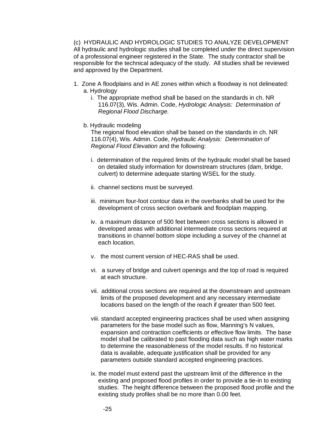(c) HYDRAULIC AND HYDROLOGIC STUDIES TO ANALYZE DEVELOPMENT All hydraulic and hydrologic studies shall be completed under the direct supervision of a professional engineer registered in the State. The study contractor shall be responsible for the technical adequacy of the study. All studies shall be reviewed and approved by the Department.

- 1. Zone A floodplains and in AE zones within which a floodway is not delineated: a. Hydrology
	- i. The appropriate method shall be based on the standards in ch. NR 116.07(3), Wis. Admin. Code, *Hydrologic Analysis: Determination of Regional Flood Discharge.*
	- b. Hydraulic modeling

The regional flood elevation shall be based on the standards in ch. NR 116.07(4), Wis. Admin. Code, *Hydraulic Analysis: Determination of Regional Flood Elevation* and the following:

- i. determination of the required limits of the hydraulic model shall be based on detailed study information for downstream structures (dam, bridge, culvert) to determine adequate starting WSEL for the study.
- ii. channel sections must be surveyed.
- iii. minimum four-foot contour data in the overbanks shall be used for the development of cross section overbank and floodplain mapping.
- iv. a maximum distance of 500 feet between cross sections is allowed in developed areas with additional intermediate cross sections required at transitions in channel bottom slope including a survey of the channel at each location.
- v. the most current version of HEC-RAS shall be used.
- vi. a survey of bridge and culvert openings and the top of road is required at each structure.
- vii. additional cross sections are required at the downstream and upstream limits of the proposed development and any necessary intermediate locations based on the length of the reach if greater than 500 feet.
- viii. standard accepted engineering practices shall be used when assigning parameters for the base model such as flow, Manning's N values, expansion and contraction coefficients or effective flow limits. The base model shall be calibrated to past flooding data such as high water marks to determine the reasonableness of the model results. If no historical data is available, adequate justification shall be provided for any parameters outside standard accepted engineering practices.
- ix. the model must extend past the upstream limit of the difference in the existing and proposed flood profiles in order to provide a tie-in to existing studies. The height difference between the proposed flood profile and the existing study profiles shall be no more than 0.00 feet.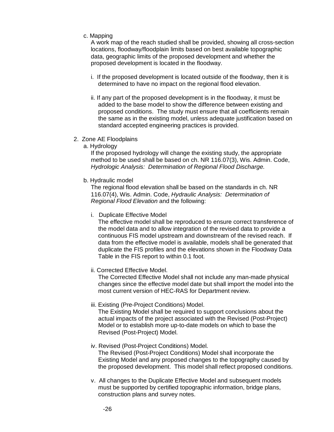c. Mapping

A work map of the reach studied shall be provided, showing all cross-section locations, floodway/floodplain limits based on best available topographic data, geographic limits of the proposed development and whether the proposed development is located in the floodway.

- i. If the proposed development is located outside of the floodway, then it is determined to have no impact on the regional flood elevation.
- ii. If any part of the proposed development is in the floodway, it must be added to the base model to show the difference between existing and proposed conditions. The study must ensure that all coefficients remain the same as in the existing model, unless adequate justification based on standard accepted engineering practices is provided.
- 2. Zone AE Floodplains
	- a. Hydrology

If the proposed hydrology will change the existing study, the appropriate method to be used shall be based on ch. NR 116.07(3), Wis. Admin. Code, *Hydrologic Analysis: Determination of Regional Flood Discharge.*

b. Hydraulic model

The regional flood elevation shall be based on the standards in ch. NR 116.07(4), Wis. Admin. Code, *Hydraulic Analysis: Determination of Regional Flood Elevation* and the following:

i. Duplicate Effective Model

The effective model shall be reproduced to ensure correct transference of the model data and to allow integration of the revised data to provide a continuous FIS model upstream and downstream of the revised reach. If data from the effective model is available, models shall be generated that duplicate the FIS profiles and the elevations shown in the Floodway Data Table in the FIS report to within 0.1 foot.

ii. Corrected Effective Model.

The Corrected Effective Model shall not include any man-made physical changes since the effective model date but shall import the model into the most current version of HEC-RAS for Department review.

iii. Existing (Pre-Project Conditions) Model.

The Existing Model shall be required to support conclusions about the actual impacts of the project associated with the Revised (Post-Project) Model or to establish more up-to-date models on which to base the Revised (Post-Project) Model.

- iv. Revised (Post-Project Conditions) Model. The Revised (Post-Project Conditions) Model shall incorporate the Existing Model and any proposed changes to the topography caused by the proposed development. This model shall reflect proposed conditions.
- v. All changes to the Duplicate Effective Model and subsequent models must be supported by certified topographic information, bridge plans, construction plans and survey notes.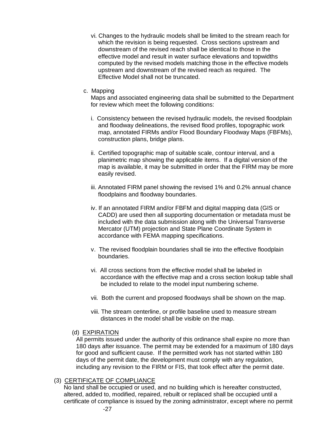- vi. Changes to the hydraulic models shall be limited to the stream reach for which the revision is being requested. Cross sections upstream and downstream of the revised reach shall be identical to those in the effective model and result in water surface elevations and topwidths computed by the revised models matching those in the effective models upstream and downstream of the revised reach as required. The Effective Model shall not be truncated.
- c. Mapping

Maps and associated engineering data shall be submitted to the Department for review which meet the following conditions:

- i. Consistency between the revised hydraulic models, the revised floodplain and floodway delineations, the revised flood profiles, topographic work map, annotated FIRMs and/or Flood Boundary Floodway Maps (FBFMs), construction plans, bridge plans.
- ii. Certified topographic map of suitable scale, contour interval, and a planimetric map showing the applicable items. If a digital version of the map is available, it may be submitted in order that the FIRM may be more easily revised.
- iii. Annotated FIRM panel showing the revised 1% and 0.2% annual chance floodplains and floodway boundaries.
- iv. If an annotated FIRM and/or FBFM and digital mapping data (GIS or CADD) are used then all supporting documentation or metadata must be included with the data submission along with the Universal Transverse Mercator (UTM) projection and State Plane Coordinate System in accordance with FEMA mapping specifications.
- v. The revised floodplain boundaries shall tie into the effective floodplain boundaries.
- vi. All cross sections from the effective model shall be labeled in accordance with the effective map and a cross section lookup table shall be included to relate to the model input numbering scheme.
- vii. Both the current and proposed floodways shall be shown on the map.
- viii. The stream centerline, or profile baseline used to measure stream distances in the model shall be visible on the map.
- (d) EXPIRATION

All permits issued under the authority of this ordinance shall expire no more than 180 days after issuance. The permit may be extended for a maximum of 180 days for good and sufficient cause. If the permitted work has not started within 180 days of the permit date, the development must comply with any regulation, including any revision to the FIRM or FIS, that took effect after the permit date.

## (3) CERTIFICATE OF COMPLIANCE

No land shall be occupied or used, and no building which is hereafter constructed, altered, added to, modified, repaired, rebuilt or replaced shall be occupied until a certificate of compliance is issued by the zoning administrator, except where no permit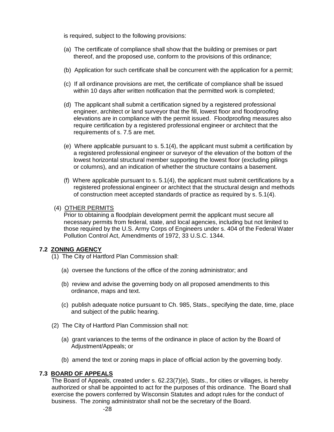is required, subject to the following provisions:

- (a) The certificate of compliance shall show that the building or premises or part thereof, and the proposed use, conform to the provisions of this ordinance;
- (b) Application for such certificate shall be concurrent with the application for a permit;
- (c) If all ordinance provisions are met, the certificate of compliance shall be issued within 10 days after written notification that the permitted work is completed;
- (d) The applicant shall submit a certification signed by a registered professional engineer, architect or land surveyor that the fill, lowest floor and floodproofing elevations are in compliance with the permit issued. Floodproofing measures also require certification by a registered professional engineer or architect that the requirements of s. 7.5 are met.
- (e) Where applicable pursuant to s. 5.1(4), the applicant must submit a certification by a registered professional engineer or surveyor of the elevation of the bottom of the lowest horizontal structural member supporting the lowest floor (excluding pilings or columns), and an indication of whether the structure contains a basement.
- (f) Where applicable pursuant to s. 5.1(4), the applicant must submit certifications by a registered professional engineer or architect that the structural design and methods of construction meet accepted standards of practice as required by s. 5.1(4).

## (4) OTHER PERMITS

Prior to obtaining a floodplain development permit the applicant must secure all necessary permits from federal, state, and local agencies, including but not limited to those required by the U.S. Army Corps of Engineers under s. 404 of the Federal Water Pollution Control Act, Amendments of 1972, 33 U.S.C. 1344.

## **7.2 ZONING AGENCY**

- (1) The City of Hartford Plan Commission shall:
	- (a) oversee the functions of the office of the zoning administrator; and
	- (b) review and advise the governing body on all proposed amendments to this ordinance, maps and text.
	- (c) publish adequate notice pursuant to Ch. 985, Stats., specifying the date, time, place and subject of the public hearing.
- (2) The City of Hartford Plan Commission shall not:
	- (a) grant variances to the terms of the ordinance in place of action by the Board of Adjustment/Appeals; or
	- (b) amend the text or zoning maps in place of official action by the governing body.

## **7.3 BOARD OF APPEALS**

The Board of Appeals, created under s. 62.23(7)(e), Stats., for cities or villages, is hereby authorized or shall be appointed to act for the purposes of this ordinance. The Board shall exercise the powers conferred by Wisconsin Statutes and adopt rules for the conduct of business. The zoning administrator shall not be the secretary of the Board.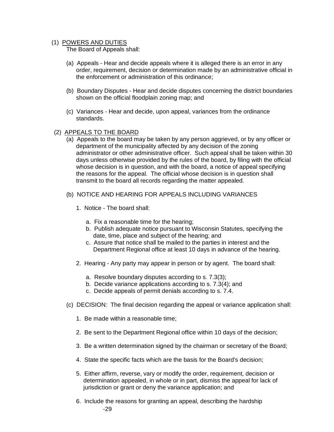#### (1) POWERS AND DUTIES

The Board of Appeals shall:

- (a) Appeals Hear and decide appeals where it is alleged there is an error in any order, requirement, decision or determination made by an administrative official in the enforcement or administration of this ordinance;
- (b) Boundary Disputes Hear and decide disputes concerning the district boundaries shown on the official floodplain zoning map; and
- (c) Variances Hear and decide, upon appeal, variances from the ordinance standards.
- (2) APPEALS TO THE BOARD
	- (a) Appeals to the board may be taken by any person aggrieved, or by any officer or department of the municipality affected by any decision of the zoning administrator or other administrative officer. Such appeal shall be taken within 30 days unless otherwise provided by the rules of the board, by filing with the official whose decision is in question, and with the board, a notice of appeal specifying the reasons for the appeal. The official whose decision is in question shall transmit to the board all records regarding the matter appealed.
	- (b) NOTICE AND HEARING FOR APPEALS INCLUDING VARIANCES
		- 1. Notice The board shall:
			- a. Fix a reasonable time for the hearing;
			- b. Publish adequate notice pursuant to Wisconsin Statutes, specifying the date, time, place and subject of the hearing; and
			- c. Assure that notice shall be mailed to the parties in interest and the Department Regional office at least 10 days in advance of the hearing.
		- 2. Hearing Any party may appear in person or by agent. The board shall:
			- a. Resolve boundary disputes according to s. 7.3(3);
			- b. Decide variance applications according to s. 7.3(4); and
			- c. Decide appeals of permit denials according to s. 7.4.
	- (c) DECISION: The final decision regarding the appeal or variance application shall:
		- 1. Be made within a reasonable time;
		- 2. Be sent to the Department Regional office within 10 days of the decision;
		- 3. Be a written determination signed by the chairman or secretary of the Board;
		- 4. State the specific facts which are the basis for the Board's decision;
		- 5. Either affirm, reverse, vary or modify the order, requirement, decision or determination appealed, in whole or in part, dismiss the appeal for lack of jurisdiction or grant or deny the variance application; and
		- 6. Include the reasons for granting an appeal, describing the hardship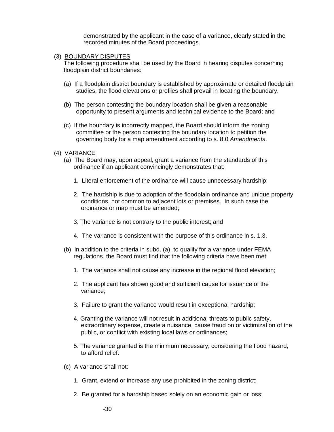demonstrated by the applicant in the case of a variance, clearly stated in the recorded minutes of the Board proceedings.

(3) BOUNDARY DISPUTES

The following procedure shall be used by the Board in hearing disputes concerning floodplain district boundaries:

- (a) If a floodplain district boundary is established by approximate or detailed floodplain studies, the flood elevations or profiles shall prevail in locating the boundary.
- (b) The person contesting the boundary location shall be given a reasonable opportunity to present arguments and technical evidence to the Board; and
- (c) If the boundary is incorrectly mapped, the Board should inform the zoning committee or the person contesting the boundary location to petition the governing body for a map amendment according to s. 8.0 *Amendments*.
- (4) VARIANCE
	- (a) The Board may, upon appeal, grant a variance from the standards of this ordinance if an applicant convincingly demonstrates that:
		- 1. Literal enforcement of the ordinance will cause unnecessary hardship;
		- 2. The hardship is due to adoption of the floodplain ordinance and unique property conditions, not common to adjacent lots or premises. In such case the ordinance or map must be amended;
		- 3. The variance is not contrary to the public interest; and
		- 4. The variance is consistent with the purpose of this ordinance in s. 1.3.
	- (b) In addition to the criteria in subd. (a), to qualify for a variance under FEMA regulations, the Board must find that the following criteria have been met:
		- 1. The variance shall not cause any increase in the regional flood elevation;
		- 2. The applicant has shown good and sufficient cause for issuance of the variance;
		- 3. Failure to grant the variance would result in exceptional hardship;
		- 4. Granting the variance will not result in additional threats to public safety, extraordinary expense, create a nuisance, cause fraud on or victimization of the public, or conflict with existing local laws or ordinances;
		- 5. The variance granted is the minimum necessary, considering the flood hazard, to afford relief.
	- (c) A variance shall not:
		- 1. Grant, extend or increase any use prohibited in the zoning district;
		- 2. Be granted for a hardship based solely on an economic gain or loss;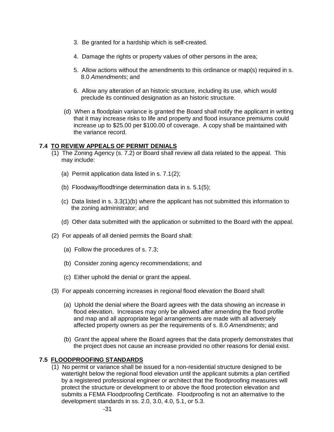- 3. Be granted for a hardship which is self-created.
- 4. Damage the rights or property values of other persons in the area;
- 5. Allow actions without the amendments to this ordinance or map(s) required in s. 8.0 *Amendments*; and
- 6. Allow any alteration of an historic structure, including its use, which would preclude its continued designation as an historic structure.
- (d) When a floodplain variance is granted the Board shall notify the applicant in writing that it may increase risks to life and property and flood insurance premiums could increase up to \$25.00 per \$100.00 of coverage. A copy shall be maintained with the variance record.

## **7.4 TO REVIEW APPEALS OF PERMIT DENIALS**

- (1) The Zoning Agency (s. 7.2) or Board shall review all data related to the appeal. This may include:
	- (a) Permit application data listed in s. 7.1(2);
	- (b) Floodway/floodfringe determination data in s. 5.1(5);
	- (c) Data listed in s. 3.3(1)(b) where the applicant has not submitted this information to the zoning administrator; and
	- (d) Other data submitted with the application or submitted to the Board with the appeal.
- (2) For appeals of all denied permits the Board shall:
	- (a) Follow the procedures of s. 7.3;
	- (b) Consider zoning agency recommendations; and
	- (c) Either uphold the denial or grant the appeal.
- (3) For appeals concerning increases in regional flood elevation the Board shall:
	- (a) Uphold the denial where the Board agrees with the data showing an increase in flood elevation. Increases may only be allowed after amending the flood profile and map and all appropriate legal arrangements are made with all adversely affected property owners as per the requirements of s. 8.0 *Amendments*; and
	- (b) Grant the appeal where the Board agrees that the data properly demonstrates that the project does not cause an increase provided no other reasons for denial exist.

## **7.5 FLOODPROOFING STANDARDS**

(1) No permit or variance shall be issued for a non-residential structure designed to be watertight below the regional flood elevation until the applicant submits a plan certified by a registered professional engineer or architect that the floodproofing measures will protect the structure or development to or above the flood protection elevation and submits a FEMA Floodproofing Certificate. Floodproofing is not an alternative to the development standards in ss. 2.0, 3.0, 4.0, 5.1, or 5.3.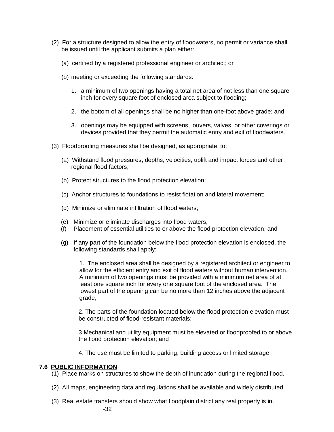- (2) For a structure designed to allow the entry of floodwaters, no permit or variance shall be issued until the applicant submits a plan either:
	- (a) certified by a registered professional engineer or architect; or
	- (b) meeting or exceeding the following standards:
		- 1. a minimum of two openings having a total net area of not less than one square inch for every square foot of enclosed area subject to flooding;
		- 2. the bottom of all openings shall be no higher than one-foot above grade; and
		- 3. openings may be equipped with screens, louvers, valves, or other coverings or devices provided that they permit the automatic entry and exit of floodwaters.
- (3) Floodproofing measures shall be designed, as appropriate, to:
	- (a) Withstand flood pressures, depths, velocities, uplift and impact forces and other regional flood factors;
	- (b) Protect structures to the flood protection elevation;
	- (c) Anchor structures to foundations to resist flotation and lateral movement;
	- (d) Minimize or eliminate infiltration of flood waters;
	- (e) Minimize or eliminate discharges into flood waters;
	- (f) Placement of essential utilities to or above the flood protection elevation; and
	- (g) If any part of the foundation below the flood protection elevation is enclosed, the following standards shall apply:

1. The enclosed area shall be designed by a registered architect or engineer to allow for the efficient entry and exit of flood waters without human intervention. A minimum of two openings must be provided with a minimum net area of at least one square inch for every one square foot of the enclosed area. The lowest part of the opening can be no more than 12 inches above the adjacent grade;

2. The parts of the foundation located below the flood protection elevation must be constructed of flood-resistant materials;

3.Mechanical and utility equipment must be elevated or floodproofed to or above the flood protection elevation; and

4. The use must be limited to parking, building access or limited storage.

## **7.6 PUBLIC INFORMATION**

- (1) Place marks on structures to show the depth of inundation during the regional flood.
- (2) All maps, engineering data and regulations shall be available and widely distributed.
- (3) Real estate transfers should show what floodplain district any real property is in.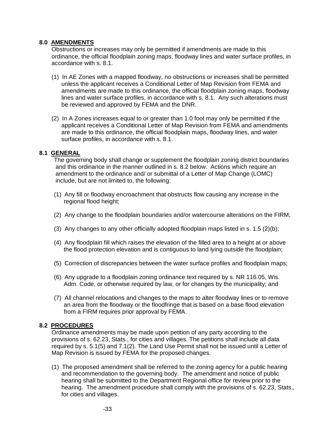### **8.0 AMENDMENTS**

Obstructions or increases may only be permitted if amendments are made to this ordinance, the official floodplain zoning maps, floodway lines and water surface profiles, in accordance with s. 8.1.

- (1) In AE Zones with a mapped floodway, no obstructions or increases shall be permitted unless the applicant receives a Conditional Letter of Map Revision from FEMA and amendments are made to this ordinance, the official floodplain zoning maps, floodway lines and water surface profiles, in accordance with s. 8.1. Any such alterations must be reviewed and approved by FEMA and the DNR.
- (2) In A Zones increases equal to or greater than 1.0 foot may only be permitted if the applicant receives a Conditional Letter of Map Revision from FEMA and amendments are made to this ordinance, the official floodplain maps, floodway lines, and water surface profiles, in accordance with s. 8.1.

## **8.1 GENERAL**

The governing body shall change or supplement the floodplain zoning district boundaries and this ordinance in the manner outlined in s. 8.2 below. Actions which require an amendment to the ordinance and/ or submittal of a Letter of Map Change (LOMC) include, but are not limited to, the following:

- (1) Any fill or floodway encroachment that obstructs flow causing any increase in the regional flood height;
- (2) Any change to the floodplain boundaries and/or watercourse alterations on the FIRM;
- (3) Any changes to any other officially adopted floodplain maps listed in s. 1.5 (2)(b);
- (4) Any floodplain fill which raises the elevation of the filled area to a height at or above the flood protection elevation and is contiguous to land lying outside the floodplain;
- (5) Correction of discrepancies between the water surface profiles and floodplain maps;
- (6) Any upgrade to a floodplain zoning ordinance text required by s. NR 116.05, Wis. Adm. Code, or otherwise required by law, or for changes by the municipality; and
- (7) All channel relocations and changes to the maps to alter floodway lines or to remove an area from the floodway or the floodfringe that is based on a base flood elevation from a FIRM requires prior approval by FEMA.

## **8.2 PROCEDURES**

Ordinance amendments may be made upon petition of any party according to the provisions of s. 62.23, Stats., for cities and villages. The petitions shall include all data required by s. 5.1(5) and 7.1(2). The Land Use Permit shall not be issued until a Letter of Map Revision is issued by FEMA for the proposed changes.

(1) The proposed amendment shall be referred to the zoning agency for a public hearing and recommendation to the governing body. The amendment and notice of public hearing shall be submitted to the Department Regional office for review prior to the hearing. The amendment procedure shall comply with the provisions of s. 62.23, Stats., for cities and villages.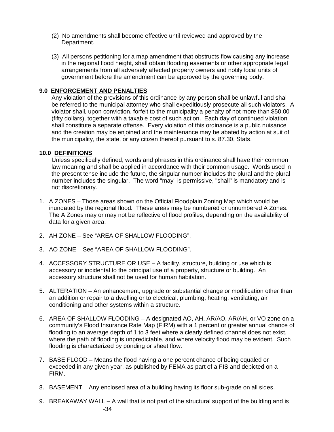- (2) No amendments shall become effective until reviewed and approved by the Department.
- (3) All persons petitioning for a map amendment that obstructs flow causing any increase in the regional flood height, shall obtain flooding easements or other appropriate legal arrangements from all adversely affected property owners and notify local units of government before the amendment can be approved by the governing body.

## **9.0 ENFORCEMENT AND PENALTIES**

Any violation of the provisions of this ordinance by any person shall be unlawful and shall be referred to the municipal attorney who shall expeditiously prosecute all such violators. A violator shall, upon conviction, forfeit to the municipality a penalty of not more than \$50.00 (fifty dollars), together with a taxable cost of such action. Each day of continued violation shall constitute a separate offense. Every violation of this ordinance is a public nuisance and the creation may be enjoined and the maintenance may be abated by action at suit of the municipality, the state, or any citizen thereof pursuant to s. 87.30, Stats.

#### **10.0 DEFINITIONS**

Unless specifically defined, words and phrases in this ordinance shall have their common law meaning and shall be applied in accordance with their common usage. Words used in the present tense include the future, the singular number includes the plural and the plural number includes the singular. The word "may" is permissive, "shall" is mandatory and is not discretionary.

- 1. A ZONES Those areas shown on the Official Floodplain Zoning Map which would be inundated by the regional flood*.* These areas may be numbered or unnumbered A Zones. The A Zones may or may not be reflective of flood profiles, depending on the availability of data for a given area.
- 2. AH ZONE See "AREA OF SHALLOW FLOODING".
- 3. AO ZONE See "AREA OF SHALLOW FLOODING".
- 4. ACCESSORY STRUCTURE OR USE A facility, structure, building or use which is accessory or incidental to the principal use of a property, structure or building. An accessory structure shall not be used for human habitation.
- 5. ALTERATION An enhancement, upgrade or substantial change or modification other than an addition or repair to a dwelling or to electrical, plumbing, heating, ventilating, air conditioning and other systems within a structure.
- 6. AREA OF SHALLOW FLOODING A designated AO, AH, AR/AO, AR/AH, or VO zone on a community's Flood Insurance Rate Map (FIRM) with a 1 percent or greater annual chance of flooding to an average depth of 1 to 3 feet where a clearly defined channel does not exist, where the path of flooding is unpredictable, and where velocity flood may be evident. Such flooding is characterized by ponding or sheet flow.
- 7. BASE FLOOD Means the flood having a one percent chance of being equaled or exceeded in any given year, as published by FEMA as part of a FIS and depicted on a FIRM.
- 8. BASEMENT Any enclosed area of a building having its floor sub-grade on all sides.
- -34 9. BREAKAWAY WALL – A wall that is not part of the structural support of the building and is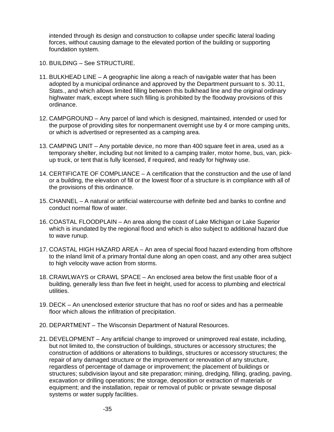intended through its design and construction to collapse under specific lateral loading forces, without causing damage to the elevated portion of the building or supporting foundation system.

- 10. BUILDING See STRUCTURE.
- 11. BULKHEAD LINE A geographic line along a reach of navigable water that has been adopted by a municipal ordinance and approved by the Department pursuant to s. 30.11, Stats., and which allows limited filling between this bulkhead line and the original ordinary highwater mark, except where such filling is prohibited by the floodway provisions of this ordinance.
- 12. CAMPGROUND Any parcel of land which is designed, maintained, intended or used for the purpose of providing sites for nonpermanent overnight use by 4 or more camping units, or which is advertised or represented as a camping area.
- 13. CAMPING UNIT Any portable device, no more than 400 square feet in area, used as a temporary shelter, including but not limited to a camping trailer, motor home, bus, van, pickup truck, or tent that is fully licensed, if required, and ready for highway use.
- 14. CERTIFICATE OF COMPLIANCE A certification that the construction and the use of land or a building, the elevation of fill or the lowest floor of a structure is in compliance with all of the provisions of this ordinance.
- 15. CHANNEL A natural or artificial watercourse with definite bed and banks to confine and conduct normal flow of water.
- 16. COASTAL FLOODPLAIN An area along the coast of Lake Michigan or Lake Superior which is inundated by the regional flood and which is also subject to additional hazard due to wave runup.
- 17. COASTAL HIGH HAZARD AREA An area of special flood hazard extending from offshore to the inland limit of a primary frontal dune along an open coast, and any other area subject to high velocity wave action from storms.
- 18. CRAWLWAYS or CRAWL SPACE An enclosed area below the first usable floor of a building, generally less than five feet in height, used for access to plumbing and electrical utilities.
- 19. DECK An unenclosed exterior structure that has no roof or sides and has a permeable floor which allows the infiltration of precipitation.
- 20. DEPARTMENT The Wisconsin Department of Natural Resources.
- 21. DEVELOPMENT Any artificial change to improved or unimproved real estate, including, but not limited to, the construction of buildings, structures or accessory structures; the construction of additions or alterations to buildings, structures or accessory structures; the repair of any damaged structure or the improvement or renovation of any structure, regardless of percentage of damage or improvement; the placement of buildings or structures; subdivision layout and site preparation; mining, dredging, filling, grading, paving, excavation or drilling operations; the storage, deposition or extraction of materials or equipment; and the installation, repair or removal of public or private sewage disposal systems or water supply facilities.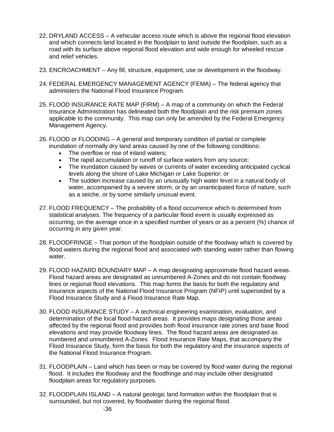- 22. DRYLAND ACCESS A vehicular access route which is above the regional flood elevation and which connects land located in the floodplain to land outside the floodplain, such as a road with its surface above regional flood elevation and wide enough for wheeled rescue and relief vehicles.
- 23. ENCROACHMENT Any fill, structure, equipment, use or development in the floodway.
- 24. FEDERAL EMERGENCY MANAGEMENT AGENCY (FEMA) The federal agency that administers the National Flood Insurance Program.
- 25. FLOOD INSURANCE RATE MAP (FIRM) A map of a community on which the Federal Insurance Administration has delineated both the floodplain and the risk premium zones applicable to the community. This map can only be amended by the Federal Emergency Management Agency.
- 26. FLOOD or FLOODING A general and temporary condition of partial or complete inundation of normally dry land areas caused by one of the following conditions:
	- The overflow or rise of inland waters;
	- The rapid accumulation or runoff of surface waters from any source;
	- The inundation caused by waves or currents of water exceeding anticipated cyclical levels along the shore of Lake Michigan or Lake Superior; or
	- The sudden increase caused by an unusually high water level in a natural body of water, accompanied by a severe storm, or by an unanticipated force of nature, such as a seiche, or by some similarly unusual event.
- 27. FLOOD FREQUENCY The probability of a flood occurrence which is determined from statistical analyses. The frequency of a particular flood event is usually expressed as occurring, on the average once in a specified number of years or as a percent (%) chance of occurring in any given year.
- 28. FLOODFRINGE That portion of the floodplain outside of the floodway which is covered by flood waters during the regional flood and associated with standing water rather than flowing water.
- 29. FLOOD HAZARD BOUNDARY MAP A map designating approximate flood hazard areas. Flood hazard areas are designated as unnumbered A-Zones and do not contain floodway lines or regional flood elevations. This map forms the basis for both the regulatory and insurance aspects of the National Flood Insurance Program (NFIP) until superseded by a Flood Insurance Study and a Flood Insurance Rate Map.
- 30. FLOOD INSURANCE STUDY A technical engineering examination, evaluation, and determination of the local flood hazard areas. It provides maps designating those areas affected by the regional flood and provides both flood insurance rate zones and base flood elevations and may provide floodway lines. The flood hazard areas are designated as numbered and unnumbered A-Zones. Flood Insurance Rate Maps, that accompany the Flood Insurance Study, form the basis for both the regulatory and the insurance aspects of the National Flood Insurance Program.
- 31. FLOODPLAIN Land which has been or may be covered by flood water during the regional flood. It includes the floodway and the floodfringe and may include other designated floodplain areas for regulatory purposes.
- 32. FLOODPLAIN ISLAND A natural geologic land formation within the floodplain that is surrounded, but not covered, by floodwater during the regional flood.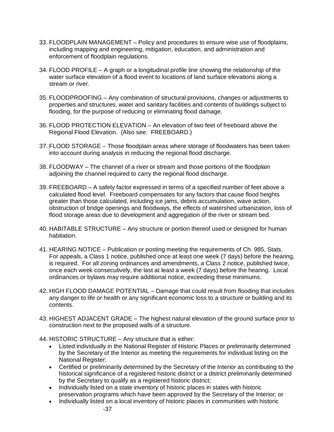- 33. FLOODPLAIN MANAGEMENT Policy and procedures to ensure wise use of floodplains, including mapping and engineering, mitigation, education, and administration and enforcement of floodplain regulations.
- 34. FLOOD PROFILE A graph or a longitudinal profile line showing the relationship of the water surface elevation of a flood event to locations of land surface elevations along a stream or river.
- 35. FLOODPROOFING Any combination of structural provisions, changes or adjustments to properties and structures, water and sanitary facilities and contents of buildings subject to flooding, for the purpose of reducing or eliminating flood damage.
- 36. FLOOD PROTECTION ELEVATION An elevation of two feet of freeboard above the Regional Flood Elevation. (Also see: FREEBOARD.)
- 37. FLOOD STORAGE Those floodplain areas where storage of floodwaters has been taken into account during analysis in reducing the regional flood discharge.
- 38. FLOODWAY The channel of a river or stream and those portions of the floodplain adjoining the channel required to carry the regional flood discharge.
- 39. FREEBOARD A safety factor expressed in terms of a specified number of feet above a calculated flood level. Freeboard compensates for any factors that cause flood heights greater than those calculated, including ice jams, debris accumulation, wave action, obstruction of bridge openings and floodways, the effects of watershed urbanization, loss of flood storage areas due to development and aggregation of the river or stream bed.
- 40. HABITABLE STRUCTURE Any structure or portion thereof used or designed for human habitation.
- 41. HEARING NOTICE Publication or posting meeting the requirements of Ch. 985, Stats. For appeals, a Class 1 notice, published once at least one week (7 days) before the hearing, is required. For all zoning ordinances and amendments, a Class 2 notice, published twice, once each week consecutively, the last at least a week (7 days) before the hearing. Local ordinances or bylaws may require additional notice, exceeding these minimums.
- 42. HIGH FLOOD DAMAGE POTENTIAL Damage that could result from flooding that includes any danger to life or health or any significant economic loss to a structure or building and its contents.
- 43. HIGHEST ADJACENT GRADE The highest natural elevation of the ground surface prior to construction next to the proposed walls of a structure.
- 44. HISTORIC STRUCTURE Any structure that is either:
	- Listed individually in the National Register of Historic Places or preliminarily determined by the Secretary of the Interior as meeting the requirements for individual listing on the National Register;
	- Certified or preliminarily determined by the Secretary of the Interior as contributing to the historical significance of a registered historic district or a district preliminarily determined by the Secretary to qualify as a registered historic district;
	- Individually listed on a state inventory of historic places in states with historic preservation programs which have been approved by the Secretary of the Interior; or
	- Individually listed on a local inventory of historic places in communities with historic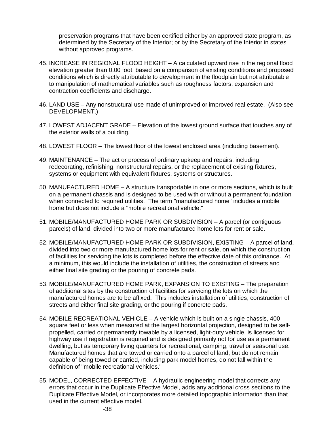preservation programs that have been certified either by an approved state program, as determined by the Secretary of the Interior; or by the Secretary of the Interior in states without approved programs.

- 45. INCREASE IN REGIONAL FLOOD HEIGHT A calculated upward rise in the regional flood elevation greater than 0.00 foot, based on a comparison of existing conditions and proposed conditions which is directly attributable to development in the floodplain but not attributable to manipulation of mathematical variables such as roughness factors, expansion and contraction coefficients and discharge.
- 46. LAND USE Any nonstructural use made of unimproved or improved real estate. (Also see DEVELOPMENT.)
- 47. LOWEST ADJACENT GRADE Elevation of the lowest ground surface that touches any of the exterior walls of a building.
- 48. LOWEST FLOOR The lowest floor of the lowest enclosed area (including basement).
- 49. MAINTENANCE The act or process of ordinary upkeep and repairs, including redecorating, refinishing, nonstructural repairs, or the replacement of existing fixtures, systems or equipment with equivalent fixtures, systems or structures.
- 50. MANUFACTURED HOME A structure transportable in one or more sections, which is built on a permanent chassis and is designed to be used with or without a permanent foundation when connected to required utilities. The term "manufactured home" includes a mobile home but does not include a "mobile recreational vehicle."
- 51. MOBILE/MANUFACTURED HOME PARK OR SUBDIVISION A parcel (or contiguous parcels) of land, divided into two or more manufactured home lots for rent or sale.
- 52. MOBILE/MANUFACTURED HOME PARK OR SUBDIVISION, EXISTING A parcel of land, divided into two or more manufactured home lots for rent or sale, on which the construction of facilities for servicing the lots is completed before the effective date of this ordinance. At a minimum, this would include the installation of utilities, the construction of streets and either final site grading or the pouring of concrete pads.
- 53. MOBILE/MANUFACTURED HOME PARK, EXPANSION TO EXISTING The preparation of additional sites by the construction of facilities for servicing the lots on which the manufactured homes are to be affixed. This includes installation of utilities, construction of streets and either final site grading, or the pouring if concrete pads.
- 54. MOBILE RECREATIONAL VEHICLE A vehicle which is built on a single chassis, 400 square feet or less when measured at the largest horizontal projection, designed to be selfpropelled, carried or permanently towable by a licensed, light-duty vehicle, is licensed for highway use if registration is required and is designed primarily not for use as a permanent dwelling, but as temporary living quarters for recreational, camping, travel or seasonal use. Manufactured homes that are towed or carried onto a parcel of land, but do not remain capable of being towed or carried, including park model homes, do not fall within the definition of "mobile recreational vehicles."
- 55. MODEL, CORRECTED EFFECTIVE A hydraulic engineering model that corrects any errors that occur in the Duplicate Effective Model, adds any additional cross sections to the Duplicate Effective Model, or incorporates more detailed topographic information than that used in the current effective model.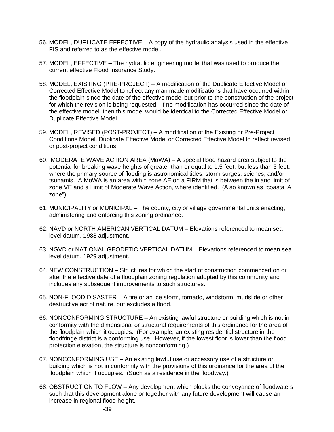- 56. MODEL, DUPLICATE EFFECTIVE A copy of the hydraulic analysis used in the effective FIS and referred to as the effective model.
- 57. MODEL, EFFECTIVE The hydraulic engineering model that was used to produce the current effective Flood Insurance Study.
- 58. MODEL, EXISTING (PRE-PROJECT) A modification of the Duplicate Effective Model or Corrected Effective Model to reflect any man made modifications that have occurred within the floodplain since the date of the effective model but prior to the construction of the project for which the revision is being requested. If no modification has occurred since the date of the effective model, then this model would be identical to the Corrected Effective Model or Duplicate Effective Model.
- 59. MODEL, REVISED (POST-PROJECT) A modification of the Existing or Pre-Project Conditions Model, Duplicate Effective Model or Corrected Effective Model to reflect revised or post-project conditions.
- 60. MODERATE WAVE ACTION AREA (MoWA) A special flood hazard area subject to the potential for breaking wave heights of greater than or equal to 1.5 feet, but less than 3 feet, where the primary source of flooding is astronomical tides, storm surges, seiches, and/or tsunamis. A MoWA is an area within zone AE on a FIRM that is between the inland limit of zone VE and a Limit of Moderate Wave Action, where identified. (Also known as "coastal A zone")
- 61. MUNICIPALITY or MUNICIPAL The county, city or village governmental units enacting, administering and enforcing this zoning ordinance.
- 62. NAVD or NORTH AMERICAN VERTICAL DATUM Elevations referenced to mean sea level datum, 1988 adjustment.
- 63. NGVD or NATIONAL GEODETIC VERTICAL DATUM Elevations referenced to mean sea level datum, 1929 adjustment.
- 64. NEW CONSTRUCTION Structures for which the start of construction commenced on or after the effective date of a floodplain zoning regulation adopted by this community and includes any subsequent improvements to such structures.
- 65. NON-FLOOD DISASTER A fire or an ice storm, tornado, windstorm, mudslide or other destructive act of nature, but excludes a flood.
- 66. NONCONFORMING STRUCTURE An existing lawful structure or building which is not in conformity with the dimensional or structural requirements of this ordinance for the area of the floodplain which it occupies. (For example, an existing residential structure in the floodfringe district is a conforming use. However, if the lowest floor is lower than the flood protection elevation, the structure is nonconforming.)
- 67. NONCONFORMING USE An existing lawful use or accessory use of a structure or building which is not in conformity with the provisions of this ordinance for the area of the floodplain which it occupies. (Such as a residence in the floodway.)
- 68. OBSTRUCTION TO FLOW Any development which blocks the conveyance of floodwaters such that this development alone or together with any future development will cause an increase in regional flood height.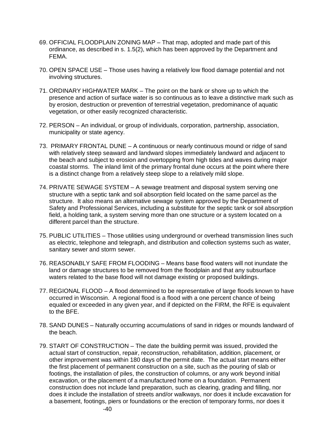- 69. OFFICIAL FLOODPLAIN ZONING MAP That map, adopted and made part of this ordinance, as described in s. 1.5(2), which has been approved by the Department and FEMA.
- 70. OPEN SPACE USE Those uses having a relatively low flood damage potential and not involving structures.
- 71. ORDINARY HIGHWATER MARK The point on the bank or shore up to which the presence and action of surface water is so continuous as to leave a distinctive mark such as by erosion, destruction or prevention of terrestrial vegetation, predominance of aquatic vegetation, or other easily recognized characteristic.
- 72. PERSON An individual, or group of individuals, corporation, partnership, association, municipality or state agency.
- 73. PRIMARY FRONTAL DUNE A continuous or nearly continuous mound or ridge of sand with relatively steep seaward and landward slopes immediately landward and adjacent to the beach and subject to erosion and overtopping from high tides and waves during major coastal storms. The inland limit of the primary frontal dune occurs at the point where there is a distinct change from a relatively steep slope to a relatively mild slope.
- 74. PRIVATE SEWAGE SYSTEM A sewage treatment and disposal system serving one structure with a septic tank and soil absorption field located on the same parcel as the structure. It also means an alternative sewage system approved by the Department of Safety and Professional Services, including a substitute for the septic tank or soil absorption field, a holding tank, a system serving more than one structure or a system located on a different parcel than the structure.
- 75. PUBLIC UTILITIES Those utilities using underground or overhead transmission lines such as electric, telephone and telegraph, and distribution and collection systems such as water, sanitary sewer and storm sewer.
- 76. REASONABLY SAFE FROM FLOODING Means base flood waters will not inundate the land or damage structures to be removed from the floodplain and that any subsurface waters related to the base flood will not damage existing or proposed buildings.
- 77. REGIONAL FLOOD A flood determined to be representative of large floods known to have occurred in Wisconsin. A regional flood is a flood with a one percent chance of being equaled or exceeded in any given year, and if depicted on the FIRM, the RFE is equivalent to the BFE.
- 78. SAND DUNES Naturally occurring accumulations of sand in ridges or mounds landward of the beach.
- 79. START OF CONSTRUCTION The date the building permit was issued, provided the actual start of construction, repair, reconstruction, rehabilitation, addition, placement, or other improvement was within 180 days of the permit date. The actual start means either the first placement of permanent construction on a site, such as the pouring of slab or footings, the installation of piles, the construction of columns, or any work beyond initial excavation, or the placement of a manufactured home on a foundation. Permanent construction does not include land preparation, such as clearing, grading and filling, nor does it include the installation of streets and/or walkways, nor does it include excavation for a basement, footings, piers or foundations or the erection of temporary forms, nor does it